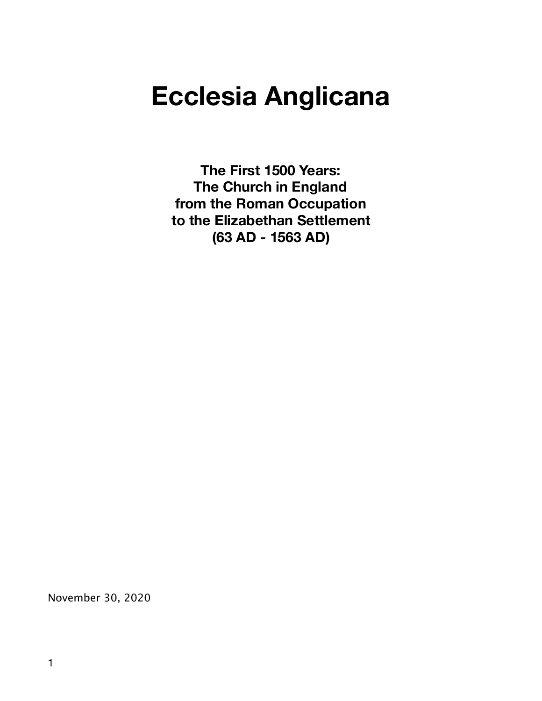# **Ecclesia Anglicana**

**The First 1500 Years: The Church in England from the Roman Occupation to the Elizabethan Settlement (63 AD - 1563 AD)** 

November 30, 2020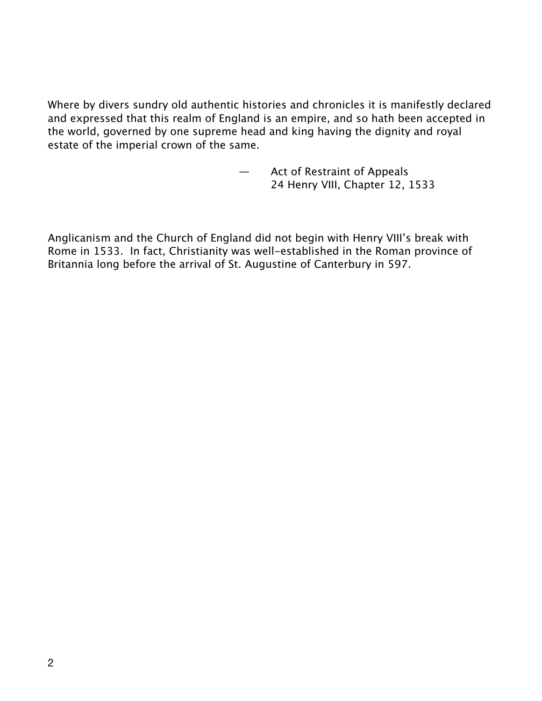Where by divers sundry old authentic histories and chronicles it is manifestly declared and expressed that this realm of England is an empire, and so hath been accepted in the world, governed by one supreme head and king having the dignity and royal estate of the imperial crown of the same.

> — Act of Restraint of Appeals 24 Henry VIII, Chapter 12, 1533

Anglicanism and the Church of England did not begin with Henry VIII's break with Rome in 1533. In fact, Christianity was well-established in the Roman province of Britannia long before the arrival of St. Augustine of Canterbury in 597.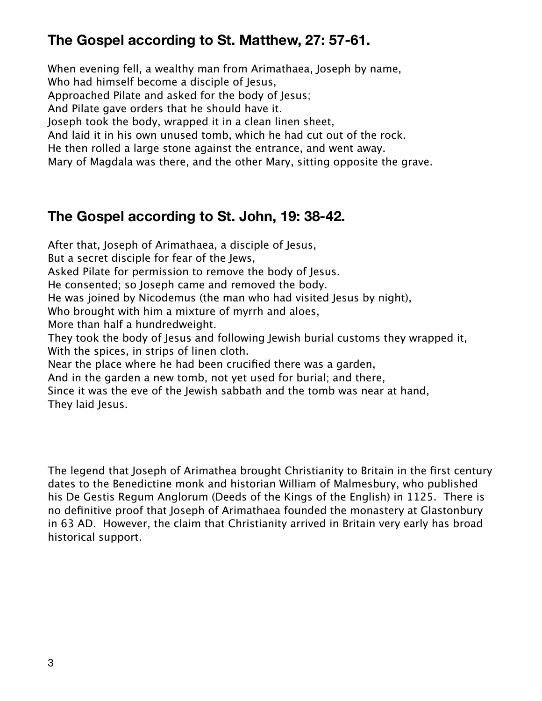# **The Gospel according to St. Matthew, 27: 57-61.**

When evening fell, a wealthy man from Arimathaea, Joseph by name, Who had himself become a disciple of Jesus, Approached Pilate and asked for the body of Jesus; And Pilate gave orders that he should have it. Joseph took the body, wrapped it in a clean linen sheet, And laid it in his own unused tomb, which he had cut out of the rock. He then rolled a large stone against the entrance, and went away. Mary of Magdala was there, and the other Mary, sitting opposite the grave.

# **The Gospel according to St. John, 19: 38-42.**

After that, Joseph of Arimathaea, a disciple of Jesus, But a secret disciple for fear of the Jews, Asked Pilate for permission to remove the body of Jesus. He consented; so Joseph came and removed the body. He was joined by Nicodemus (the man who had visited Jesus by night), Who brought with him a mixture of myrrh and aloes, More than half a hundredweight. They took the body of Jesus and following Jewish burial customs they wrapped it, With the spices, in strips of linen cloth. Near the place where he had been crucified there was a garden, And in the garden a new tomb, not yet used for burial; and there, Since it was the eve of the Jewish sabbath and the tomb was near at hand, They laid Jesus.

The legend that Joseph of Arimathea brought Christianity to Britain in the first century dates to the Benedictine monk and historian William of Malmesbury, who published his De Gestis Regum Anglorum (Deeds of the Kings of the English) in 1125. There is no definitive proof that Joseph of Arimathaea founded the monastery at Glastonbury in 63 AD. However, the claim that Christianity arrived in Britain very early has broad historical support.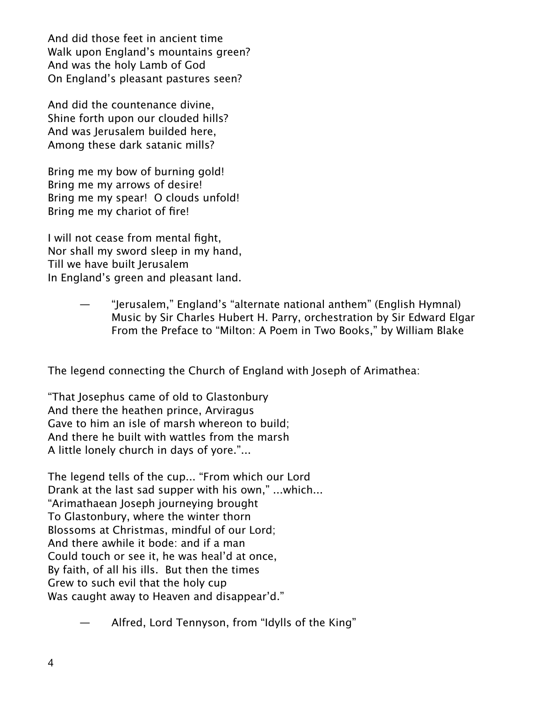And did those feet in ancient time Walk upon England's mountains green? And was the holy Lamb of God On England's pleasant pastures seen?

And did the countenance divine, Shine forth upon our clouded hills? And was Jerusalem builded here, Among these dark satanic mills?

Bring me my bow of burning gold! Bring me my arrows of desire! Bring me my spear! O clouds unfold! Bring me my chariot of fire!

I will not cease from mental fight, Nor shall my sword sleep in my hand, Till we have built Jerusalem In England's green and pleasant land.

> — "Jerusalem," England's "alternate national anthem" (English Hymnal) Music by Sir Charles Hubert H. Parry, orchestration by Sir Edward Elgar From the Preface to "Milton: A Poem in Two Books," by William Blake

The legend connecting the Church of England with Joseph of Arimathea:

"That Josephus came of old to Glastonbury And there the heathen prince, Arviragus Gave to him an isle of marsh whereon to build; And there he built with wattles from the marsh A little lonely church in days of yore."...

The legend tells of the cup... "From which our Lord Drank at the last sad supper with his own," ...which... "Arimathaean Joseph journeying brought To Glastonbury, where the winter thorn Blossoms at Christmas, mindful of our Lord; And there awhile it bode: and if a man Could touch or see it, he was heal'd at once, By faith, of all his ills. But then the times Grew to such evil that the holy cup Was caught away to Heaven and disappear'd."

— Alfred, Lord Tennyson, from "Idylls of the King"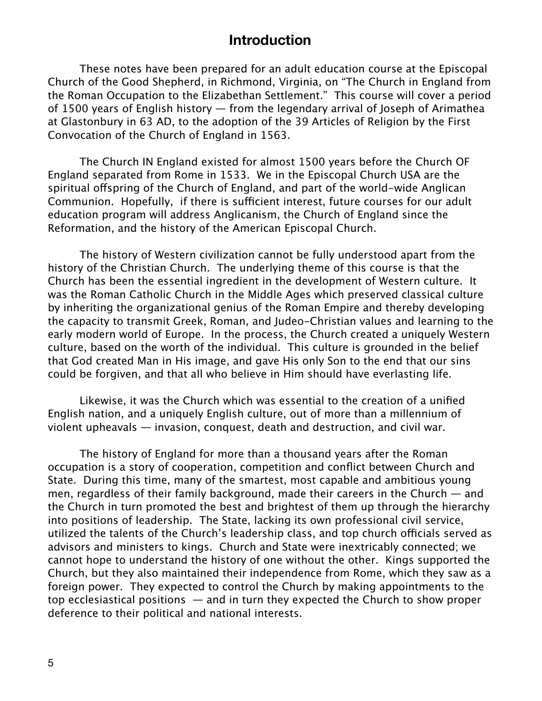#### **Introduction**

These notes have been prepared for an adult education course at the Episcopal Church of the Good Shepherd, in Richmond, Virginia, on "The Church in England from the Roman Occupation to the Elizabethan Settlement." This course will cover a period of 1500 years of English history — from the legendary arrival of Joseph of Arimathea at Glastonbury in 63 AD, to the adoption of the 39 Articles of Religion by the First Convocation of the Church of England in 1563.

The Church IN England existed for almost 1500 years before the Church OF England separated from Rome in 1533. We in the Episcopal Church USA are the spiritual offspring of the Church of England, and part of the world-wide Anglican Communion. Hopefully, if there is sufficient interest, future courses for our adult education program will address Anglicanism, the Church of England since the Reformation, and the history of the American Episcopal Church.

The history of Western civilization cannot be fully understood apart from the history of the Christian Church. The underlying theme of this course is that the Church has been the essential ingredient in the development of Western culture. It was the Roman Catholic Church in the Middle Ages which preserved classical culture by inheriting the organizational genius of the Roman Empire and thereby developing the capacity to transmit Greek, Roman, and Judeo-Christian values and learning to the early modern world of Europe. In the process, the Church created a uniquely Western culture, based on the worth of the individual. This culture is grounded in the belief that God created Man in His image, and gave His only Son to the end that our sins could be forgiven, and that all who believe in Him should have everlasting life.

Likewise, it was the Church which was essential to the creation of a unified English nation, and a uniquely English culture, out of more than a millennium of violent upheavals — invasion, conquest, death and destruction, and civil war.

The history of England for more than a thousand years after the Roman occupation is a story of cooperation, competition and conflict between Church and State. During this time, many of the smartest, most capable and ambitious young men, regardless of their family background, made their careers in the Church — and the Church in turn promoted the best and brightest of them up through the hierarchy into positions of leadership. The State, lacking its own professional civil service, utilized the talents of the Church's leadership class, and top church officials served as advisors and ministers to kings. Church and State were inextricably connected; we cannot hope to understand the history of one without the other. Kings supported the Church, but they also maintained their independence from Rome, which they saw as a foreign power. They expected to control the Church by making appointments to the top ecclesiastical positions — and in turn they expected the Church to show proper deference to their political and national interests.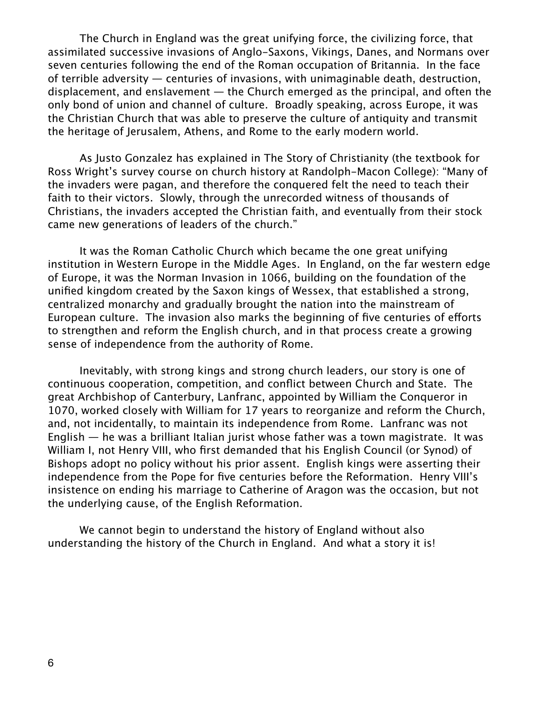The Church in England was the great unifying force, the civilizing force, that assimilated successive invasions of Anglo-Saxons, Vikings, Danes, and Normans over seven centuries following the end of the Roman occupation of Britannia. In the face of terrible adversity — centuries of invasions, with unimaginable death, destruction, displacement, and enslavement  $-$  the Church emerged as the principal, and often the only bond of union and channel of culture. Broadly speaking, across Europe, it was the Christian Church that was able to preserve the culture of antiquity and transmit the heritage of Jerusalem, Athens, and Rome to the early modern world.

As Justo Gonzalez has explained in The Story of Christianity (the textbook for Ross Wright's survey course on church history at Randolph-Macon College): "Many of the invaders were pagan, and therefore the conquered felt the need to teach their faith to their victors. Slowly, through the unrecorded witness of thousands of Christians, the invaders accepted the Christian faith, and eventually from their stock came new generations of leaders of the church."

It was the Roman Catholic Church which became the one great unifying institution in Western Europe in the Middle Ages. In England, on the far western edge of Europe, it was the Norman Invasion in 1066, building on the foundation of the unified kingdom created by the Saxon kings of Wessex, that established a strong, centralized monarchy and gradually brought the nation into the mainstream of European culture. The invasion also marks the beginning of five centuries of eforts to strengthen and reform the English church, and in that process create a growing sense of independence from the authority of Rome.

Inevitably, with strong kings and strong church leaders, our story is one of continuous cooperation, competition, and conflict between Church and State. The great Archbishop of Canterbury, Lanfranc, appointed by William the Conqueror in 1070, worked closely with William for 17 years to reorganize and reform the Church, and, not incidentally, to maintain its independence from Rome. Lanfranc was not English — he was a brilliant Italian jurist whose father was a town magistrate. It was William I, not Henry VIII, who first demanded that his English Council (or Synod) of Bishops adopt no policy without his prior assent. English kings were asserting their independence from the Pope for five centuries before the Reformation. Henry VIII's insistence on ending his marriage to Catherine of Aragon was the occasion, but not the underlying cause, of the English Reformation.

We cannot begin to understand the history of England without also understanding the history of the Church in England. And what a story it is!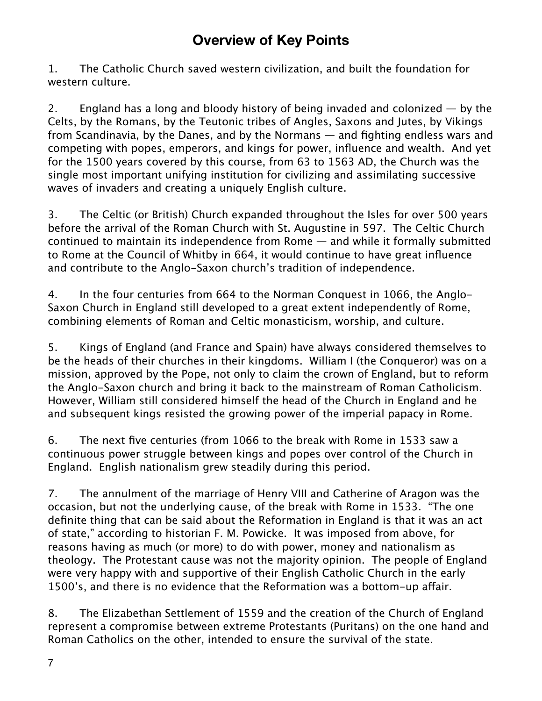# **Overview of Key Points**

1. The Catholic Church saved western civilization, and built the foundation for western culture.

2. England has a long and bloody history of being invaded and colonized — by the Celts, by the Romans, by the Teutonic tribes of Angles, Saxons and Jutes, by Vikings from Scandinavia, by the Danes, and by the Normans — and fighting endless wars and competing with popes, emperors, and kings for power, influence and wealth. And yet for the 1500 years covered by this course, from 63 to 1563 AD, the Church was the single most important unifying institution for civilizing and assimilating successive waves of invaders and creating a uniquely English culture.

3. The Celtic (or British) Church expanded throughout the Isles for over 500 years before the arrival of the Roman Church with St. Augustine in 597. The Celtic Church continued to maintain its independence from Rome — and while it formally submitted to Rome at the Council of Whitby in 664, it would continue to have great influence and contribute to the Anglo-Saxon church's tradition of independence.

4. In the four centuries from 664 to the Norman Conquest in 1066, the Anglo-Saxon Church in England still developed to a great extent independently of Rome, combining elements of Roman and Celtic monasticism, worship, and culture.

5. Kings of England (and France and Spain) have always considered themselves to be the heads of their churches in their kingdoms. William I (the Conqueror) was on a mission, approved by the Pope, not only to claim the crown of England, but to reform the Anglo-Saxon church and bring it back to the mainstream of Roman Catholicism. However, William still considered himself the head of the Church in England and he and subsequent kings resisted the growing power of the imperial papacy in Rome.

6. The next five centuries (from 1066 to the break with Rome in 1533 saw a continuous power struggle between kings and popes over control of the Church in England. English nationalism grew steadily during this period.

7. The annulment of the marriage of Henry VIII and Catherine of Aragon was the occasion, but not the underlying cause, of the break with Rome in 1533. "The one definite thing that can be said about the Reformation in England is that it was an act of state," according to historian F. M. Powicke. It was imposed from above, for reasons having as much (or more) to do with power, money and nationalism as theology. The Protestant cause was not the majority opinion. The people of England were very happy with and supportive of their English Catholic Church in the early 1500's, and there is no evidence that the Reformation was a bottom-up affair.

8. The Elizabethan Settlement of 1559 and the creation of the Church of England represent a compromise between extreme Protestants (Puritans) on the one hand and Roman Catholics on the other, intended to ensure the survival of the state.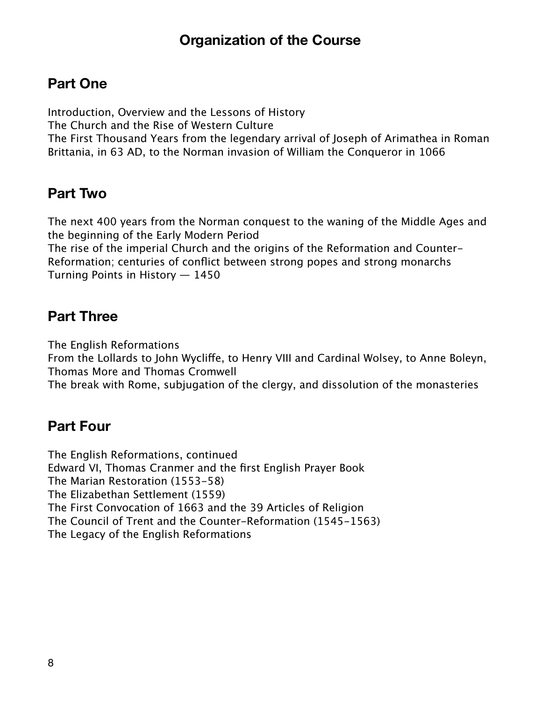# **Organization of the Course**

# **Part One**

Introduction, Overview and the Lessons of History The Church and the Rise of Western Culture The First Thousand Years from the legendary arrival of Joseph of Arimathea in Roman Brittania, in 63 AD, to the Norman invasion of William the Conqueror in 1066

# **Part Two**

The next 400 years from the Norman conquest to the waning of the Middle Ages and the beginning of the Early Modern Period

The rise of the imperial Church and the origins of the Reformation and Counter-Reformation; centuries of conflict between strong popes and strong monarchs Turning Points in History — 1450

# **Part Three**

The English Reformations

From the Lollards to John Wyclife, to Henry VIII and Cardinal Wolsey, to Anne Boleyn, Thomas More and Thomas Cromwell

The break with Rome, subjugation of the clergy, and dissolution of the monasteries

# **Part Four**

The English Reformations, continued Edward VI, Thomas Cranmer and the first English Prayer Book The Marian Restoration (1553-58) The Elizabethan Settlement (1559) The First Convocation of 1663 and the 39 Articles of Religion The Council of Trent and the Counter-Reformation (1545-1563) The Legacy of the English Reformations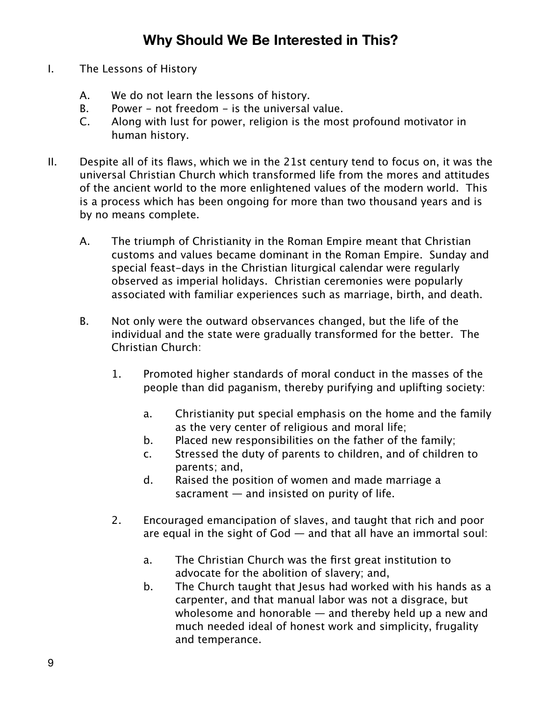# **Why Should We Be Interested in This?**

- I. The Lessons of History
	- A. We do not learn the lessons of history.
	- B. Power not freedom is the universal value.
	- C. Along with lust for power, religion is the most profound motivator in human history.
- II. Despite all of its flaws, which we in the 21st century tend to focus on, it was the universal Christian Church which transformed life from the mores and attitudes of the ancient world to the more enlightened values of the modern world. This is a process which has been ongoing for more than two thousand years and is by no means complete.
	- A. The triumph of Christianity in the Roman Empire meant that Christian customs and values became dominant in the Roman Empire. Sunday and special feast-days in the Christian liturgical calendar were regularly observed as imperial holidays. Christian ceremonies were popularly associated with familiar experiences such as marriage, birth, and death.
	- B. Not only were the outward observances changed, but the life of the individual and the state were gradually transformed for the better. The Christian Church:
		- 1. Promoted higher standards of moral conduct in the masses of the people than did paganism, thereby purifying and uplifting society:
			- a. Christianity put special emphasis on the home and the family as the very center of religious and moral life;
			- b. Placed new responsibilities on the father of the family;
			- c. Stressed the duty of parents to children, and of children to parents; and,
			- d. Raised the position of women and made marriage a sacrament — and insisted on purity of life.
		- 2. Encouraged emancipation of slaves, and taught that rich and poor are equal in the sight of God — and that all have an immortal soul:
			- a. The Christian Church was the first great institution to advocate for the abolition of slavery; and,
			- b. The Church taught that Jesus had worked with his hands as a carpenter, and that manual labor was not a disgrace, but wholesome and honorable — and thereby held up a new and much needed ideal of honest work and simplicity, frugality and temperance.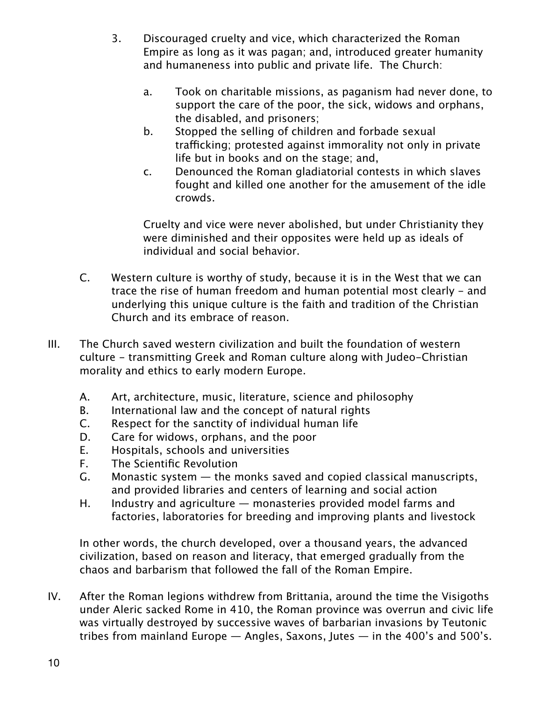- 3. Discouraged cruelty and vice, which characterized the Roman Empire as long as it was pagan; and, introduced greater humanity and humaneness into public and private life. The Church:
	- a. Took on charitable missions, as paganism had never done, to support the care of the poor, the sick, widows and orphans, the disabled, and prisoners;
	- b. Stopped the selling of children and forbade sexual trafficking; protested against immorality not only in private life but in books and on the stage; and,
	- c. Denounced the Roman gladiatorial contests in which slaves fought and killed one another for the amusement of the idle crowds.

Cruelty and vice were never abolished, but under Christianity they were diminished and their opposites were held up as ideals of individual and social behavior.

- C. Western culture is worthy of study, because it is in the West that we can trace the rise of human freedom and human potential most clearly - and underlying this unique culture is the faith and tradition of the Christian Church and its embrace of reason.
- III. The Church saved western civilization and built the foundation of western culture - transmitting Greek and Roman culture along with Judeo-Christian morality and ethics to early modern Europe.
	- A. Art, architecture, music, literature, science and philosophy
	- B. International law and the concept of natural rights
	- C. Respect for the sanctity of individual human life
	- D. Care for widows, orphans, and the poor
	- E. Hospitals, schools and universities
	- F. The Scientific Revolution
	- G. Monastic system the monks saved and copied classical manuscripts, and provided libraries and centers of learning and social action
	- H. Industry and agriculture monasteries provided model farms and factories, laboratories for breeding and improving plants and livestock

In other words, the church developed, over a thousand years, the advanced civilization, based on reason and literacy, that emerged gradually from the chaos and barbarism that followed the fall of the Roman Empire.

IV. After the Roman legions withdrew from Brittania, around the time the Visigoths under Aleric sacked Rome in 410, the Roman province was overrun and civic life was virtually destroyed by successive waves of barbarian invasions by Teutonic tribes from mainland Europe — Angles, Saxons, Jutes — in the 400's and 500's.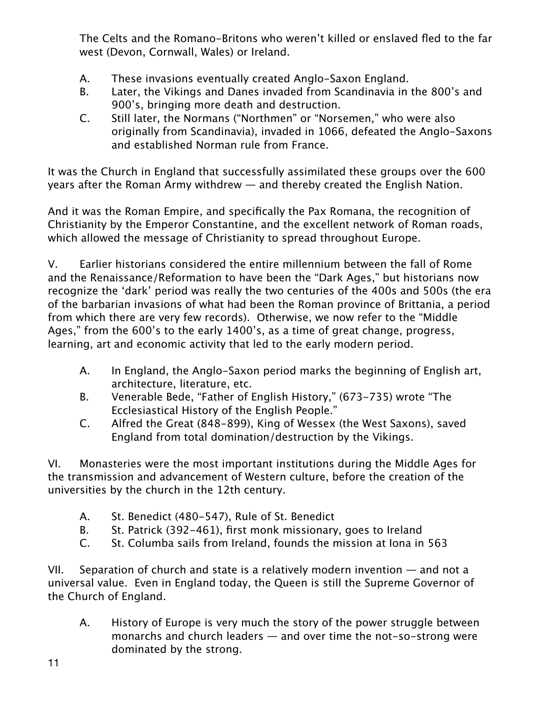The Celts and the Romano-Britons who weren't killed or enslaved fled to the far west (Devon, Cornwall, Wales) or Ireland.

- A. These invasions eventually created Anglo-Saxon England.
- B. Later, the Vikings and Danes invaded from Scandinavia in the 800's and 900's, bringing more death and destruction.
- C. Still later, the Normans ("Northmen" or "Norsemen," who were also originally from Scandinavia), invaded in 1066, defeated the Anglo-Saxons and established Norman rule from France.

It was the Church in England that successfully assimilated these groups over the 600 years after the Roman Army withdrew — and thereby created the English Nation.

And it was the Roman Empire, and specifically the Pax Romana, the recognition of Christianity by the Emperor Constantine, and the excellent network of Roman roads, which allowed the message of Christianity to spread throughout Europe.

V. Earlier historians considered the entire millennium between the fall of Rome and the Renaissance/Reformation to have been the "Dark Ages," but historians now recognize the 'dark' period was really the two centuries of the 400s and 500s (the era of the barbarian invasions of what had been the Roman province of Brittania, a period from which there are very few records). Otherwise, we now refer to the "Middle Ages," from the 600's to the early 1400's, as a time of great change, progress, learning, art and economic activity that led to the early modern period.

- A. In England, the Anglo-Saxon period marks the beginning of English art, architecture, literature, etc.
- B. Venerable Bede, "Father of English History," (673-735) wrote "The Ecclesiastical History of the English People."
- C. Alfred the Great (848-899), King of Wessex (the West Saxons), saved England from total domination/destruction by the Vikings.

VI. Monasteries were the most important institutions during the Middle Ages for the transmission and advancement of Western culture, before the creation of the universities by the church in the 12th century.

- A. St. Benedict (480-547), Rule of St. Benedict
- B. St. Patrick (392-461), first monk missionary, goes to Ireland
- C. St. Columba sails from Ireland, founds the mission at Iona in 563

VII. Separation of church and state is a relatively modern invention — and not a universal value. Even in England today, the Queen is still the Supreme Governor of the Church of England.

A. History of Europe is very much the story of the power struggle between monarchs and church leaders — and over time the not-so-strong were dominated by the strong.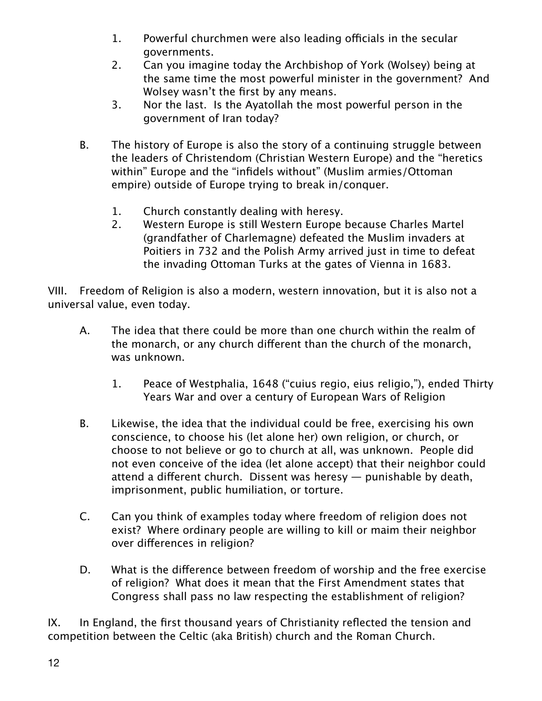- 1. Powerful churchmen were also leading officials in the secular governments.
- 2. Can you imagine today the Archbishop of York (Wolsey) being at the same time the most powerful minister in the government? And Wolsey wasn't the first by any means.
- 3. Nor the last. Is the Ayatollah the most powerful person in the government of Iran today?
- B. The history of Europe is also the story of a continuing struggle between the leaders of Christendom (Christian Western Europe) and the "heretics within" Europe and the "infidels without" (Muslim armies/Ottoman empire) outside of Europe trying to break in/conquer.
	- 1. Church constantly dealing with heresy.
	- 2. Western Europe is still Western Europe because Charles Martel (grandfather of Charlemagne) defeated the Muslim invaders at Poitiers in 732 and the Polish Army arrived just in time to defeat the invading Ottoman Turks at the gates of Vienna in 1683.

VIII. Freedom of Religion is also a modern, western innovation, but it is also not a universal value, even today.

- A. The idea that there could be more than one church within the realm of the monarch, or any church diferent than the church of the monarch, was unknown.
	- 1. Peace of Westphalia, 1648 ("cuius regio, eius religio,"), ended Thirty Years War and over a century of European Wars of Religion
- B. Likewise, the idea that the individual could be free, exercising his own conscience, to choose his (let alone her) own religion, or church, or choose to not believe or go to church at all, was unknown. People did not even conceive of the idea (let alone accept) that their neighbor could attend a diferent church. Dissent was heresy — punishable by death, imprisonment, public humiliation, or torture.
- C. Can you think of examples today where freedom of religion does not exist? Where ordinary people are willing to kill or maim their neighbor over diferences in religion?
- D. What is the diference between freedom of worship and the free exercise of religion? What does it mean that the First Amendment states that Congress shall pass no law respecting the establishment of religion?

IX. In England, the first thousand years of Christianity reflected the tension and competition between the Celtic (aka British) church and the Roman Church.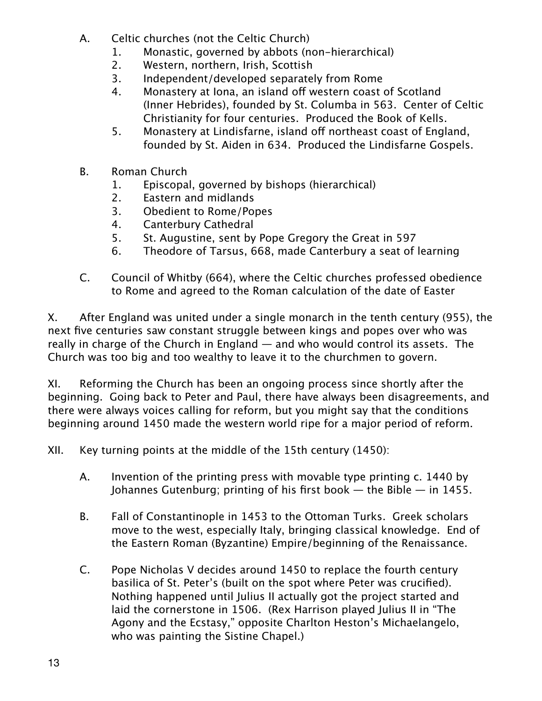- A. Celtic churches (not the Celtic Church)
	- 1. Monastic, governed by abbots (non-hierarchical)
	- 2. Western, northern, Irish, Scottish
	- 3. Independent/developed separately from Rome
	- 4. Monastery at Iona, an island off western coast of Scotland (Inner Hebrides), founded by St. Columba in 563. Center of Celtic Christianity for four centuries. Produced the Book of Kells.
	- 5. Monastery at Lindisfarne, island off northeast coast of England, founded by St. Aiden in 634. Produced the Lindisfarne Gospels.
- B. Roman Church
	- 1. Episcopal, governed by bishops (hierarchical)
	- 2. Eastern and midlands
	- 3. Obedient to Rome/Popes
	- 4. Canterbury Cathedral
	- 5. St. Augustine, sent by Pope Gregory the Great in 597
	- 6. Theodore of Tarsus, 668, made Canterbury a seat of learning
- C. Council of Whitby (664), where the Celtic churches professed obedience to Rome and agreed to the Roman calculation of the date of Easter

X. After England was united under a single monarch in the tenth century (955), the next five centuries saw constant struggle between kings and popes over who was really in charge of the Church in England — and who would control its assets. The Church was too big and too wealthy to leave it to the churchmen to govern.

XI. Reforming the Church has been an ongoing process since shortly after the beginning. Going back to Peter and Paul, there have always been disagreements, and there were always voices calling for reform, but you might say that the conditions beginning around 1450 made the western world ripe for a major period of reform.

XII. Key turning points at the middle of the 15th century (1450):

- A. Invention of the printing press with movable type printing c. 1440 by Johannes Gutenburg; printing of his first book  $-$  the Bible  $-$  in 1455.
- B. Fall of Constantinople in 1453 to the Ottoman Turks. Greek scholars move to the west, especially Italy, bringing classical knowledge. End of the Eastern Roman (Byzantine) Empire/beginning of the Renaissance.
- C. Pope Nicholas V decides around 1450 to replace the fourth century basilica of St. Peter's (built on the spot where Peter was crucified). Nothing happened until Julius II actually got the project started and laid the cornerstone in 1506. (Rex Harrison played Julius II in "The Agony and the Ecstasy," opposite Charlton Heston's Michaelangelo, who was painting the Sistine Chapel.)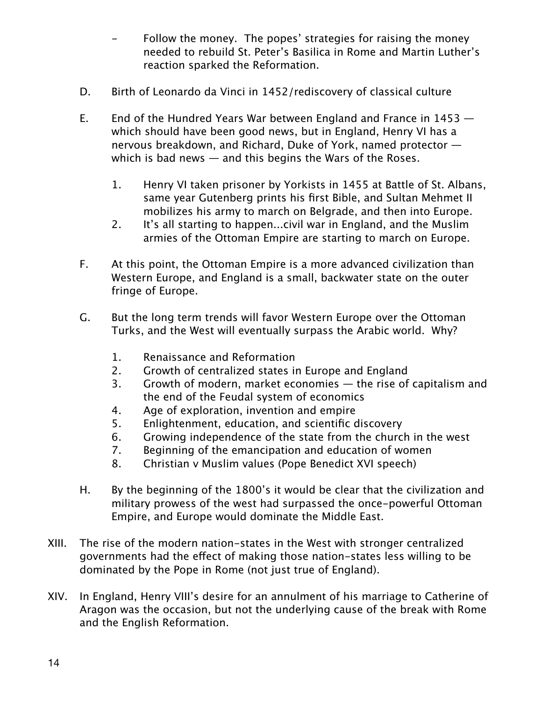- Follow the money. The popes' strategies for raising the money needed to rebuild St. Peter's Basilica in Rome and Martin Luther's reaction sparked the Reformation.
- D. Birth of Leonardo da Vinci in 1452/rediscovery of classical culture
- E. End of the Hundred Years War between England and France in 1453 which should have been good news, but in England, Henry VI has a nervous breakdown, and Richard, Duke of York, named protector which is bad news — and this begins the Wars of the Roses.
	- 1. Henry VI taken prisoner by Yorkists in 1455 at Battle of St. Albans, same year Gutenberg prints his first Bible, and Sultan Mehmet II mobilizes his army to march on Belgrade, and then into Europe.
	- 2. It's all starting to happen...civil war in England, and the Muslim armies of the Ottoman Empire are starting to march on Europe.
- F. At this point, the Ottoman Empire is a more advanced civilization than Western Europe, and England is a small, backwater state on the outer fringe of Europe.
- G. But the long term trends will favor Western Europe over the Ottoman Turks, and the West will eventually surpass the Arabic world. Why?
	- 1. Renaissance and Reformation
	- 2. Growth of centralized states in Europe and England
	- 3. Growth of modern, market economies the rise of capitalism and the end of the Feudal system of economics
	- 4. Age of exploration, invention and empire
	- 5. Enlightenment, education, and scientific discovery
	- 6. Growing independence of the state from the church in the west
	- 7. Beginning of the emancipation and education of women
	- 8. Christian v Muslim values (Pope Benedict XVI speech)
- H. By the beginning of the 1800's it would be clear that the civilization and military prowess of the west had surpassed the once-powerful Ottoman Empire, and Europe would dominate the Middle East.
- XIII. The rise of the modern nation-states in the West with stronger centralized governments had the efect of making those nation-states less willing to be dominated by the Pope in Rome (not just true of England).
- XIV. In England, Henry VIII's desire for an annulment of his marriage to Catherine of Aragon was the occasion, but not the underlying cause of the break with Rome and the English Reformation.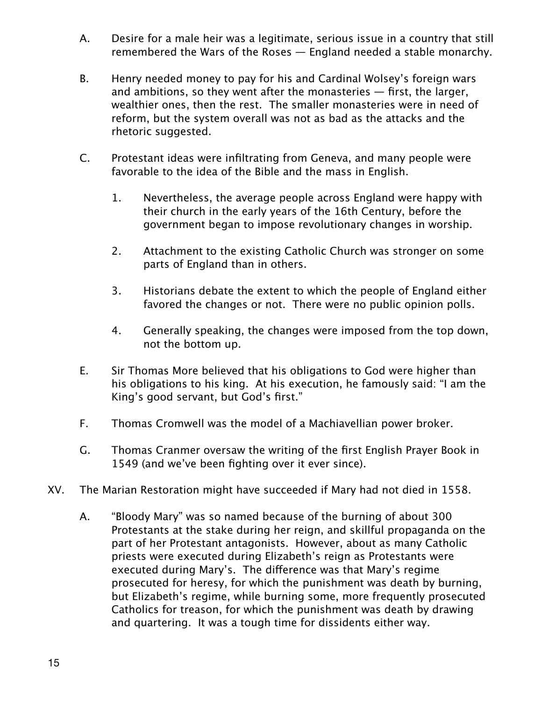- A. Desire for a male heir was a legitimate, serious issue in a country that still remembered the Wars of the Roses — England needed a stable monarchy.
- B. Henry needed money to pay for his and Cardinal Wolsey's foreign wars and ambitions, so they went after the monasteries — first, the larger, wealthier ones, then the rest. The smaller monasteries were in need of reform, but the system overall was not as bad as the attacks and the rhetoric suggested.
- C. Protestant ideas were infiltrating from Geneva, and many people were favorable to the idea of the Bible and the mass in English.
	- 1. Nevertheless, the average people across England were happy with their church in the early years of the 16th Century, before the government began to impose revolutionary changes in worship.
	- 2. Attachment to the existing Catholic Church was stronger on some parts of England than in others.
	- 3. Historians debate the extent to which the people of England either favored the changes or not. There were no public opinion polls.
	- 4. Generally speaking, the changes were imposed from the top down, not the bottom up.
- E. Sir Thomas More believed that his obligations to God were higher than his obligations to his king. At his execution, he famously said: "I am the King's good servant, but God's first."
- F. Thomas Cromwell was the model of a Machiavellian power broker.
- G. Thomas Cranmer oversaw the writing of the first English Prayer Book in 1549 (and we've been fighting over it ever since).
- XV. The Marian Restoration might have succeeded if Mary had not died in 1558.
	- A. "Bloody Mary" was so named because of the burning of about 300 Protestants at the stake during her reign, and skillful propaganda on the part of her Protestant antagonists. However, about as many Catholic priests were executed during Elizabeth's reign as Protestants were executed during Mary's. The diference was that Mary's regime prosecuted for heresy, for which the punishment was death by burning, but Elizabeth's regime, while burning some, more frequently prosecuted Catholics for treason, for which the punishment was death by drawing and quartering. It was a tough time for dissidents either way.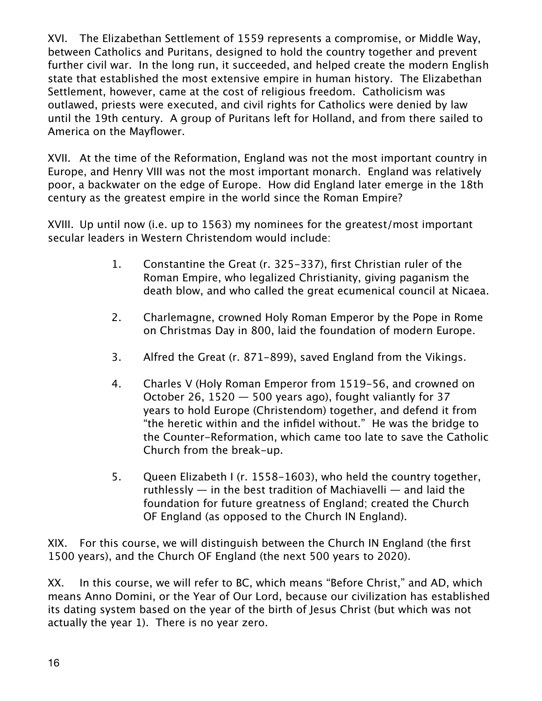XVI. The Elizabethan Settlement of 1559 represents a compromise, or Middle Way, between Catholics and Puritans, designed to hold the country together and prevent further civil war. In the long run, it succeeded, and helped create the modern English state that established the most extensive empire in human history. The Elizabethan Settlement, however, came at the cost of religious freedom. Catholicism was outlawed, priests were executed, and civil rights for Catholics were denied by law until the 19th century. A group of Puritans left for Holland, and from there sailed to America on the Mayflower.

XVII. At the time of the Reformation, England was not the most important country in Europe, and Henry VIII was not the most important monarch. England was relatively poor, a backwater on the edge of Europe. How did England later emerge in the 18th century as the greatest empire in the world since the Roman Empire?

XVIII. Up until now (i.e. up to 1563) my nominees for the greatest/most important secular leaders in Western Christendom would include:

- 1. Constantine the Great (r. 325-337), first Christian ruler of the Roman Empire, who legalized Christianity, giving paganism the death blow, and who called the great ecumenical council at Nicaea.
- 2. Charlemagne, crowned Holy Roman Emperor by the Pope in Rome on Christmas Day in 800, laid the foundation of modern Europe.
- 3. Alfred the Great (r. 871-899), saved England from the Vikings.
- 4. Charles V (Holy Roman Emperor from 1519-56, and crowned on October 26,  $1520 - 500$  years ago), fought valiantly for 37 years to hold Europe (Christendom) together, and defend it from "the heretic within and the infidel without." He was the bridge to the Counter-Reformation, which came too late to save the Catholic Church from the break-up.
- 5. Queen Elizabeth I (r. 1558-1603), who held the country together, ruthlessly  $-$  in the best tradition of Machiavelli  $-$  and laid the foundation for future greatness of England; created the Church OF England (as opposed to the Church IN England).

XIX. For this course, we will distinguish between the Church IN England (the first 1500 years), and the Church OF England (the next 500 years to 2020).

XX. In this course, we will refer to BC, which means "Before Christ," and AD, which means Anno Domini, or the Year of Our Lord, because our civilization has established its dating system based on the year of the birth of Jesus Christ (but which was not actually the year 1). There is no year zero.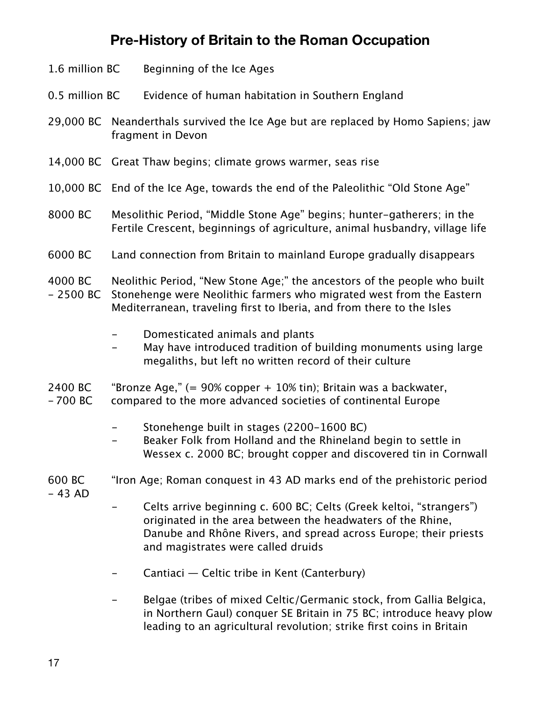# **Pre-History of Britain to the Roman Occupation**

| 1.6 million BC        |                                                                                                                                         | Beginning of the Ice Ages                                                                                                                                                                                                                    |  |
|-----------------------|-----------------------------------------------------------------------------------------------------------------------------------------|----------------------------------------------------------------------------------------------------------------------------------------------------------------------------------------------------------------------------------------------|--|
| 0.5 million BC        |                                                                                                                                         | Evidence of human habitation in Southern England                                                                                                                                                                                             |  |
|                       |                                                                                                                                         | 29,000 BC Neanderthals survived the Ice Age but are replaced by Homo Sapiens; jaw<br>fragment in Devon                                                                                                                                       |  |
|                       |                                                                                                                                         | 14,000 BC Great Thaw begins; climate grows warmer, seas rise                                                                                                                                                                                 |  |
|                       | 10,000 BC End of the Ice Age, towards the end of the Paleolithic "Old Stone Age"                                                        |                                                                                                                                                                                                                                              |  |
| 8000 BC               |                                                                                                                                         | Mesolithic Period, "Middle Stone Age" begins; hunter-gatherers; in the<br>Fertile Crescent, beginnings of agriculture, animal husbandry, village life                                                                                        |  |
| 6000 BC               |                                                                                                                                         | Land connection from Britain to mainland Europe gradually disappears                                                                                                                                                                         |  |
| 4000 BC<br>$-2500 BC$ |                                                                                                                                         | Neolithic Period, "New Stone Age;" the ancestors of the people who built<br>Stonehenge were Neolithic farmers who migrated west from the Eastern<br>Mediterranean, traveling first to Iberia, and from there to the Isles                    |  |
|                       |                                                                                                                                         | Domesticated animals and plants<br>May have introduced tradition of building monuments using large<br>megaliths, but left no written record of their culture                                                                                 |  |
| 2400 BC<br>$-700$ BC  | "Bronze Age," $(= 90\%$ copper $+ 10\%$ tin); Britain was a backwater,<br>compared to the more advanced societies of continental Europe |                                                                                                                                                                                                                                              |  |
|                       |                                                                                                                                         | Stonehenge built in stages (2200-1600 BC)<br>Beaker Folk from Holland and the Rhineland begin to settle in<br>Wessex c. 2000 BC; brought copper and discovered tin in Cornwall                                                               |  |
| 600 BC<br>$-43$ AD    | "Iron Age; Roman conquest in 43 AD marks end of the prehistoric period                                                                  |                                                                                                                                                                                                                                              |  |
|                       |                                                                                                                                         | Celts arrive beginning c. 600 BC; Celts (Greek keltoi, "strangers")<br>originated in the area between the headwaters of the Rhine,<br>Danube and Rhône Rivers, and spread across Europe; their priests<br>and magistrates were called druids |  |

- Cantiaci Celtic tribe in Kent (Canterbury)
- Belgae (tribes of mixed Celtic/Germanic stock, from Gallia Belgica, in Northern Gaul) conquer SE Britain in 75 BC; introduce heavy plow leading to an agricultural revolution; strike first coins in Britain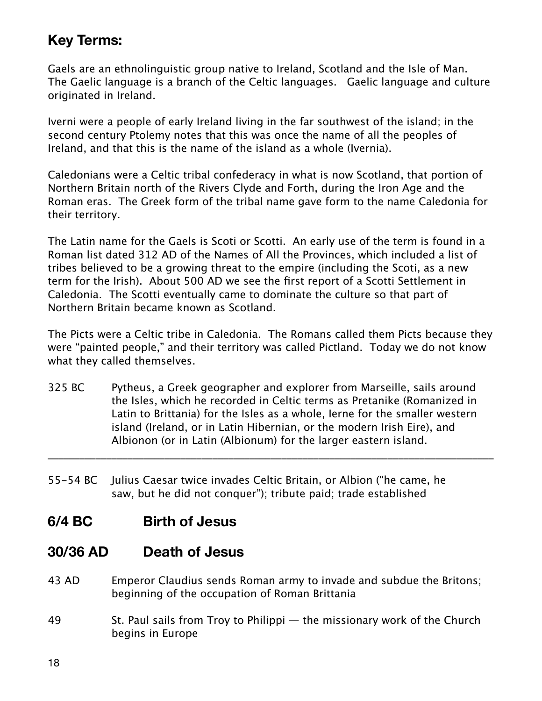# **Key Terms:**

Gaels are an ethnolinguistic group native to Ireland, Scotland and the Isle of Man. The Gaelic language is a branch of the Celtic languages. Gaelic language and culture originated in Ireland.

Iverni were a people of early Ireland living in the far southwest of the island; in the second century Ptolemy notes that this was once the name of all the peoples of Ireland, and that this is the name of the island as a whole (Ivernia).

Caledonians were a Celtic tribal confederacy in what is now Scotland, that portion of Northern Britain north of the Rivers Clyde and Forth, during the Iron Age and the Roman eras. The Greek form of the tribal name gave form to the name Caledonia for their territory.

The Latin name for the Gaels is Scoti or Scotti. An early use of the term is found in a Roman list dated 312 AD of the Names of All the Provinces, which included a list of tribes believed to be a growing threat to the empire (including the Scoti, as a new term for the Irish). About 500 AD we see the first report of a Scotti Settlement in Caledonia. The Scotti eventually came to dominate the culture so that part of Northern Britain became known as Scotland.

The Picts were a Celtic tribe in Caledonia. The Romans called them Picts because they were "painted people," and their territory was called Pictland. Today we do not know what they called themselves.

325 BC Pytheus, a Greek geographer and explorer from Marseille, sails around the Isles, which he recorded in Celtic terms as Pretanike (Romanized in Latin to Brittania) for the Isles as a whole, Ierne for the smaller western island (Ireland, or in Latin Hibernian, or the modern Irish Eire), and Albionon (or in Latin (Albionum) for the larger eastern island.

\_\_\_\_\_\_\_\_\_\_\_\_\_\_\_\_\_\_\_\_\_\_\_\_\_\_\_\_\_\_\_\_\_\_\_\_\_\_\_\_\_\_\_\_\_\_\_\_\_\_\_\_\_\_\_\_\_\_\_\_\_\_\_\_\_\_\_\_\_\_\_\_\_\_\_\_\_\_\_\_\_\_\_\_

55-54 BC Julius Caesar twice invades Celtic Britain, or Albion ("he came, he saw, but he did not conquer"); tribute paid; trade established

### **6/4 BC Birth of Jesus**

### **30/36 AD Death of Jesus**

- 43 AD Emperor Claudius sends Roman army to invade and subdue the Britons; beginning of the occupation of Roman Brittania
- 49 St. Paul sails from Troy to Philippi the missionary work of the Church begins in Europe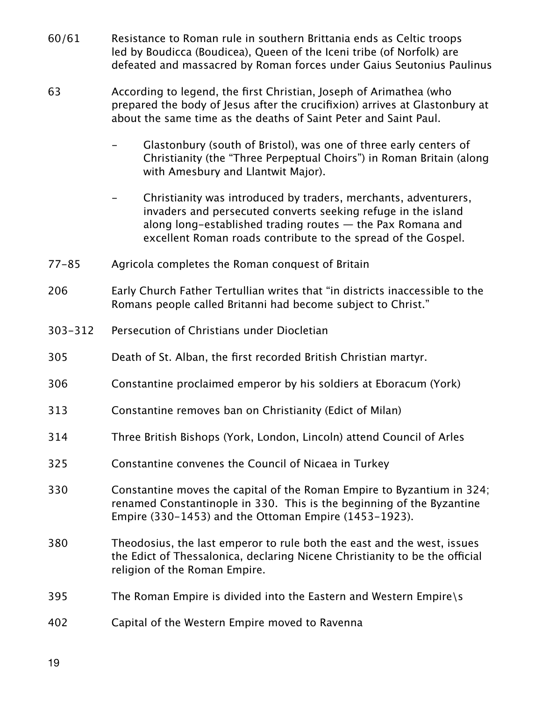- 60/61 Resistance to Roman rule in southern Brittania ends as Celtic troops led by Boudicca (Boudicea), Queen of the Iceni tribe (of Norfolk) are defeated and massacred by Roman forces under Gaius Seutonius Paulinus
- 63 According to legend, the first Christian, Joseph of Arimathea (who prepared the body of Jesus after the crucifixion) arrives at Glastonbury at about the same time as the deaths of Saint Peter and Saint Paul.
	- Glastonbury (south of Bristol), was one of three early centers of Christianity (the "Three Perpeptual Choirs") in Roman Britain (along with Amesbury and Llantwit Major).
	- Christianity was introduced by traders, merchants, adventurers, invaders and persecuted converts seeking refuge in the island along long-established trading routes — the Pax Romana and excellent Roman roads contribute to the spread of the Gospel.
- 77-85 Agricola completes the Roman conquest of Britain
- 206 Early Church Father Tertullian writes that "in districts inaccessible to the Romans people called Britanni had become subject to Christ."
- 303-312 Persecution of Christians under Diocletian
- 305 Death of St. Alban, the first recorded British Christian martyr.
- 306 Constantine proclaimed emperor by his soldiers at Eboracum (York)
- 313 Constantine removes ban on Christianity (Edict of Milan)
- 314 Three British Bishops (York, London, Lincoln) attend Council of Arles
- 325 Constantine convenes the Council of Nicaea in Turkey
- 330 Constantine moves the capital of the Roman Empire to Byzantium in 324; renamed Constantinople in 330. This is the beginning of the Byzantine Empire (330-1453) and the Ottoman Empire (1453-1923).
- 380 Theodosius, the last emperor to rule both the east and the west, issues the Edict of Thessalonica, declaring Nicene Christianity to be the official religion of the Roman Empire.
- 395 The Roman Empire is divided into the Eastern and Western Empire\s
- 402 Capital of the Western Empire moved to Ravenna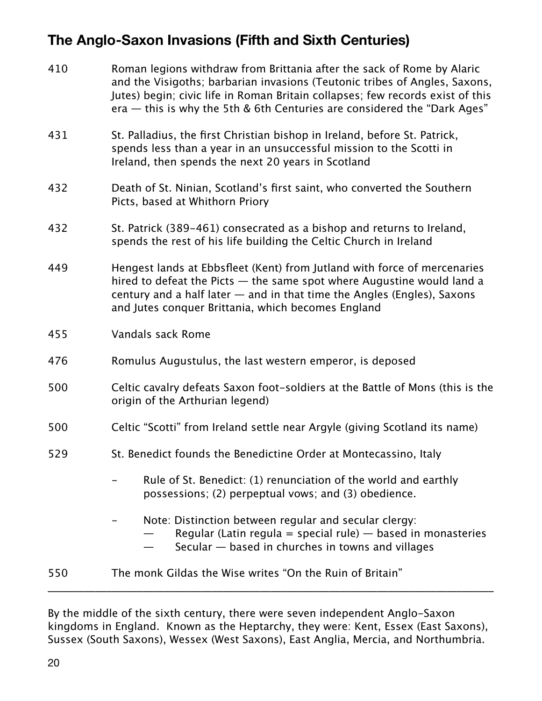# **The Anglo-Saxon Invasions (Fifth and Sixth Centuries)**

| 410 | Roman legions withdraw from Brittania after the sack of Rome by Alaric<br>and the Visigoths; barbarian invasions (Teutonic tribes of Angles, Saxons,<br>Jutes) begin; civic life in Roman Britain collapses; few records exist of this<br>era $-$ this is why the 5th & 6th Centuries are considered the "Dark Ages" |  |  |
|-----|----------------------------------------------------------------------------------------------------------------------------------------------------------------------------------------------------------------------------------------------------------------------------------------------------------------------|--|--|
| 431 | St. Palladius, the first Christian bishop in Ireland, before St. Patrick,<br>spends less than a year in an unsuccessful mission to the Scotti in<br>Ireland, then spends the next 20 years in Scotland                                                                                                               |  |  |
| 432 | Death of St. Ninian, Scotland's first saint, who converted the Southern<br>Picts, based at Whithorn Priory                                                                                                                                                                                                           |  |  |
| 432 | St. Patrick (389–461) consecrated as a bishop and returns to Ireland,<br>spends the rest of his life building the Celtic Church in Ireland                                                                                                                                                                           |  |  |
| 449 | Hengest lands at Ebbsfleet (Kent) from Jutland with force of mercenaries<br>hired to defeat the Picts $-$ the same spot where Augustine would land a<br>century and a half later $-$ and in that time the Angles (Engles), Saxons<br>and Jutes conquer Brittania, which becomes England                              |  |  |
| 455 | Vandals sack Rome                                                                                                                                                                                                                                                                                                    |  |  |
| 476 | Romulus Augustulus, the last western emperor, is deposed                                                                                                                                                                                                                                                             |  |  |
| 500 | Celtic cavalry defeats Saxon foot-soldiers at the Battle of Mons (this is the<br>origin of the Arthurian legend)                                                                                                                                                                                                     |  |  |
| 500 | Celtic "Scotti" from Ireland settle near Argyle (giving Scotland its name)                                                                                                                                                                                                                                           |  |  |
| 529 | St. Benedict founds the Benedictine Order at Montecassino, Italy                                                                                                                                                                                                                                                     |  |  |
|     | Rule of St. Benedict: (1) renunciation of the world and earthly<br>possessions; (2) perpeptual vows; and (3) obedience.                                                                                                                                                                                              |  |  |
|     | Note: Distinction between regular and secular clergy:<br>Regular (Latin regula = special rule) $-$ based in monasteries<br>Secular – based in churches in towns and villages                                                                                                                                         |  |  |
| 550 | The monk Gildas the Wise writes "On the Ruin of Britain"                                                                                                                                                                                                                                                             |  |  |

By the middle of the sixth century, there were seven independent Anglo-Saxon kingdoms in England. Known as the Heptarchy, they were: Kent, Essex (East Saxons), Sussex (South Saxons), Wessex (West Saxons), East Anglia, Mercia, and Northumbria.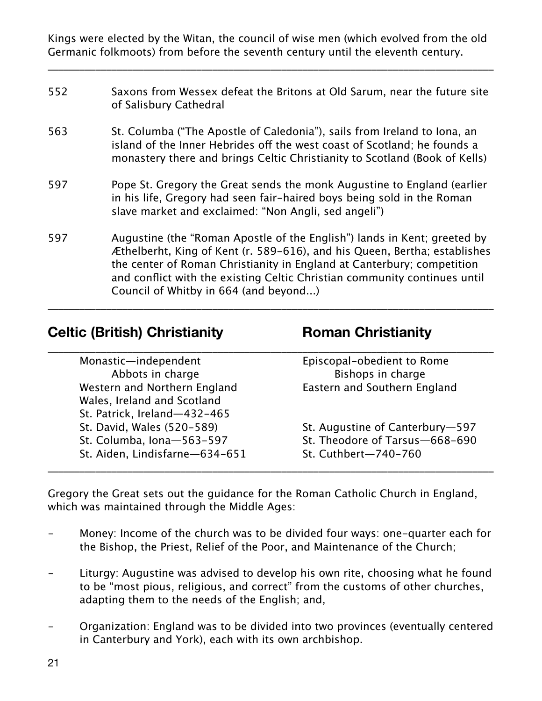Kings were elected by the Witan, the council of wise men (which evolved from the old Germanic folkmoots) from before the seventh century until the eleventh century.

\_\_\_\_\_\_\_\_\_\_\_\_\_\_\_\_\_\_\_\_\_\_\_\_\_\_\_\_\_\_\_\_\_\_\_\_\_\_\_\_\_\_\_\_\_\_\_\_\_\_\_\_\_\_\_\_\_\_\_\_\_\_\_\_\_\_\_\_\_\_\_\_\_\_\_\_\_\_\_\_\_\_\_\_

- 552 Saxons from Wessex defeat the Britons at Old Sarum, near the future site of Salisbury Cathedral
- 563 St. Columba ("The Apostle of Caledonia"), sails from Ireland to Iona, an island of the Inner Hebrides off the west coast of Scotland; he founds a monastery there and brings Celtic Christianity to Scotland (Book of Kells)
- 597 Pope St. Gregory the Great sends the monk Augustine to England (earlier in his life, Gregory had seen fair-haired boys being sold in the Roman slave market and exclaimed: "Non Angli, sed angeli")
- 597 Augustine (the "Roman Apostle of the English") lands in Kent; greeted by Æthelberht, King of Kent (r. 589-616), and his Queen, Bertha; establishes the center of Roman Christianity in England at Canterbury; competition and conflict with the existing Celtic Christian community continues until Council of Whitby in 664 (and beyond...)

\_\_\_\_\_\_\_\_\_\_\_\_\_\_\_\_\_\_\_\_\_\_\_\_\_\_\_\_\_\_\_\_\_\_\_\_\_\_\_\_\_\_\_\_\_\_\_\_\_\_\_\_\_\_\_\_\_\_\_\_\_\_\_\_\_\_\_\_\_\_\_\_\_\_\_\_\_\_\_\_\_\_\_\_

#### **Celtic (British) Christianity Roman Christianity**

| Monastic-independent           | Episcopal-obedient to Rome      |
|--------------------------------|---------------------------------|
| Abbots in charge               | Bishops in charge               |
| Western and Northern England   | Eastern and Southern England    |
| Wales, Ireland and Scotland    |                                 |
| St. Patrick, Ireland-432-465   |                                 |
| St. David, Wales (520-589)     | St. Augustine of Canterbury-597 |
| St. Columba, Iona-563-597      | St. Theodore of Tarsus-668-690  |
| St. Aiden, Lindisfarne-634-651 | St. Cuthbert-740-760            |

Gregory the Great sets out the guidance for the Roman Catholic Church in England, which was maintained through the Middle Ages:

- Money: Income of the church was to be divided four ways: one-quarter each for the Bishop, the Priest, Relief of the Poor, and Maintenance of the Church;
- Liturgy: Augustine was advised to develop his own rite, choosing what he found to be "most pious, religious, and correct" from the customs of other churches, adapting them to the needs of the English; and,
- Organization: England was to be divided into two provinces (eventually centered in Canterbury and York), each with its own archbishop.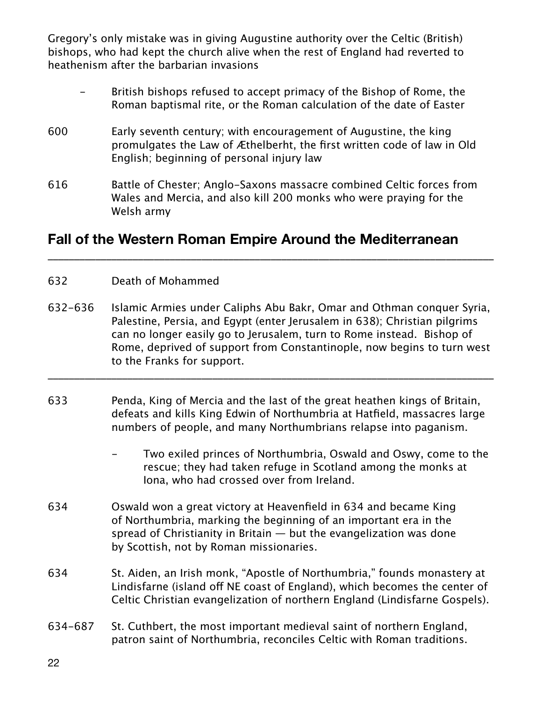Gregory's only mistake was in giving Augustine authority over the Celtic (British) bishops, who had kept the church alive when the rest of England had reverted to heathenism after the barbarian invasions

- British bishops refused to accept primacy of the Bishop of Rome, the Roman baptismal rite, or the Roman calculation of the date of Easter
- 600 Early seventh century; with encouragement of Augustine, the king promulgates the Law of Æthelberht, the first written code of law in Old English; beginning of personal injury law
- 616 Battle of Chester; Anglo-Saxons massacre combined Celtic forces from Wales and Mercia, and also kill 200 monks who were praying for the Welsh army

#### **Fall of the Western Roman Empire Around the Mediterranean**

#### 632 Death of Mohammed

632-636 Islamic Armies under Caliphs Abu Bakr, Omar and Othman conquer Syria, Palestine, Persia, and Egypt (enter Jerusalem in 638); Christian pilgrims can no longer easily go to Jerusalem, turn to Rome instead. Bishop of Rome, deprived of support from Constantinople, now begins to turn west to the Franks for support.

\_\_\_\_\_\_\_\_\_\_\_\_\_\_\_\_\_\_\_\_\_\_\_\_\_\_\_\_\_\_\_\_\_\_\_\_\_\_\_\_\_\_\_\_\_\_\_\_\_\_\_\_\_\_\_\_\_\_\_\_\_\_\_\_\_\_\_\_\_\_\_\_\_\_\_\_\_\_\_\_\_\_\_\_

\_\_\_\_\_\_\_\_\_\_\_\_\_\_\_\_\_\_\_\_\_\_\_\_\_\_\_\_\_\_\_\_\_\_\_\_\_\_\_\_\_\_\_\_\_\_\_\_\_\_\_\_\_\_\_\_\_\_\_\_\_\_\_\_\_\_\_\_\_\_\_\_\_\_\_\_\_\_\_\_\_\_\_\_

- 633 Penda, King of Mercia and the last of the great heathen kings of Britain, defeats and kills King Edwin of Northumbria at Hatfield, massacres large numbers of people, and many Northumbrians relapse into paganism.
	- Two exiled princes of Northumbria, Oswald and Oswy, come to the rescue; they had taken refuge in Scotland among the monks at Iona, who had crossed over from Ireland.
- 634 Oswald won a great victory at Heavenfield in 634 and became King of Northumbria, marking the beginning of an important era in the spread of Christianity in Britain — but the evangelization was done by Scottish, not by Roman missionaries.
- 634 St. Aiden, an Irish monk, "Apostle of Northumbria," founds monastery at Lindisfarne (island off NE coast of England), which becomes the center of Celtic Christian evangelization of northern England (Lindisfarne Gospels).
- 634-687 St. Cuthbert, the most important medieval saint of northern England, patron saint of Northumbria, reconciles Celtic with Roman traditions.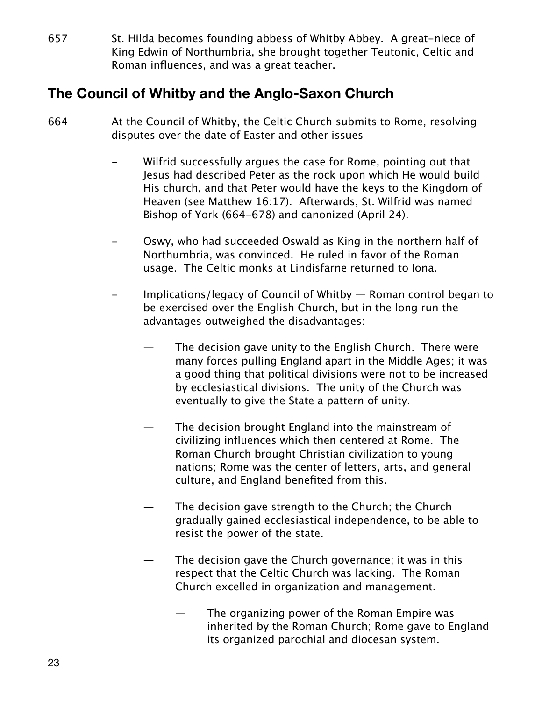657 St. Hilda becomes founding abbess of Whitby Abbey. A great-niece of King Edwin of Northumbria, she brought together Teutonic, Celtic and Roman influences, and was a great teacher.

# **The Council of Whitby and the Anglo-Saxon Church**

- 664 At the Council of Whitby, the Celtic Church submits to Rome, resolving disputes over the date of Easter and other issues
	- Wilfrid successfully argues the case for Rome, pointing out that Jesus had described Peter as the rock upon which He would build His church, and that Peter would have the keys to the Kingdom of Heaven (see Matthew 16:17). Afterwards, St. Wilfrid was named Bishop of York (664-678) and canonized (April 24).
	- Oswy, who had succeeded Oswald as King in the northern half of Northumbria, was convinced. He ruled in favor of the Roman usage. The Celtic monks at Lindisfarne returned to Iona.
	- Implications/legacy of Council of Whitby Roman control began to be exercised over the English Church, but in the long run the advantages outweighed the disadvantages:
		- The decision gave unity to the English Church. There were many forces pulling England apart in the Middle Ages; it was a good thing that political divisions were not to be increased by ecclesiastical divisions. The unity of the Church was eventually to give the State a pattern of unity.
		- The decision brought England into the mainstream of civilizing influences which then centered at Rome. The Roman Church brought Christian civilization to young nations; Rome was the center of letters, arts, and general culture, and England benefited from this.
		- The decision gave strength to the Church; the Church gradually gained ecclesiastical independence, to be able to resist the power of the state.
		- The decision gave the Church governance; it was in this respect that the Celtic Church was lacking. The Roman Church excelled in organization and management.
			- The organizing power of the Roman Empire was inherited by the Roman Church; Rome gave to England its organized parochial and diocesan system.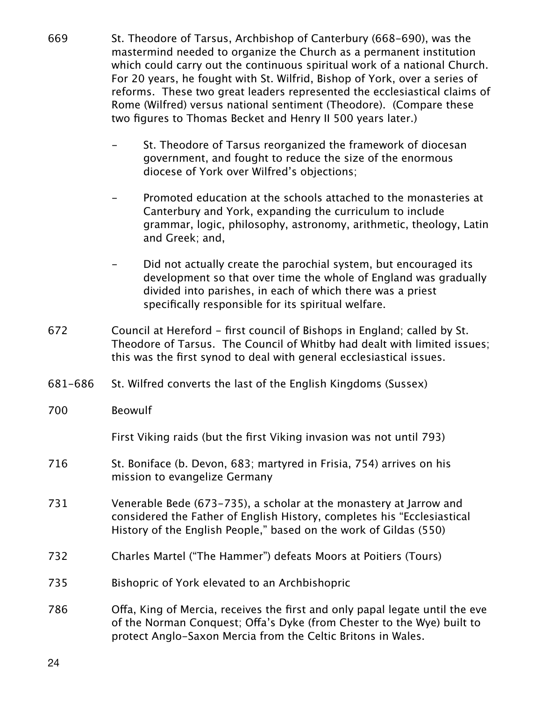- 669 St. Theodore of Tarsus, Archbishop of Canterbury (668-690), was the mastermind needed to organize the Church as a permanent institution which could carry out the continuous spiritual work of a national Church. For 20 years, he fought with St. Wilfrid, Bishop of York, over a series of reforms. These two great leaders represented the ecclesiastical claims of Rome (Wilfred) versus national sentiment (Theodore). (Compare these two figures to Thomas Becket and Henry II 500 years later.)
	- St. Theodore of Tarsus reorganized the framework of diocesan government, and fought to reduce the size of the enormous diocese of York over Wilfred's objections;
	- Promoted education at the schools attached to the monasteries at Canterbury and York, expanding the curriculum to include grammar, logic, philosophy, astronomy, arithmetic, theology, Latin and Greek; and,
	- Did not actually create the parochial system, but encouraged its development so that over time the whole of England was gradually divided into parishes, in each of which there was a priest specifically responsible for its spiritual welfare.
- 672 Council at Hereford first council of Bishops in England; called by St. Theodore of Tarsus. The Council of Whitby had dealt with limited issues; this was the first synod to deal with general ecclesiastical issues.
- 681-686 St. Wilfred converts the last of the English Kingdoms (Sussex)
- 700 Beowulf

First Viking raids (but the first Viking invasion was not until 793)

- 716 St. Boniface (b. Devon, 683; martyred in Frisia, 754) arrives on his mission to evangelize Germany
- 731 Venerable Bede (673-735), a scholar at the monastery at Jarrow and considered the Father of English History, completes his "Ecclesiastical History of the English People," based on the work of Gildas (550)
- 732 Charles Martel ("The Hammer") defeats Moors at Poitiers (Tours)
- 735 Bishopric of York elevated to an Archbishopric
- 786 Ofa, King of Mercia, receives the first and only papal legate until the eve of the Norman Conquest; Ofa's Dyke (from Chester to the Wye) built to protect Anglo-Saxon Mercia from the Celtic Britons in Wales.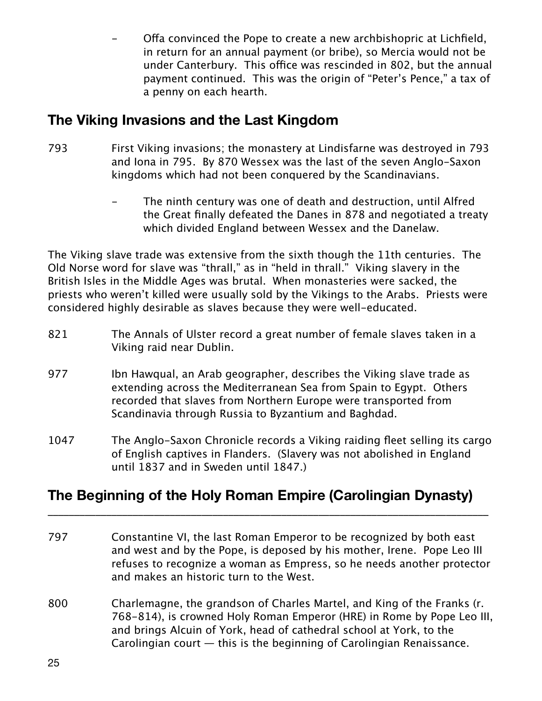Offa convinced the Pope to create a new archbishopric at Lichfield, in return for an annual payment (or bribe), so Mercia would not be under Canterbury. This office was rescinded in 802, but the annual payment continued. This was the origin of "Peter's Pence," a tax of a penny on each hearth.

# **The Viking Invasions and the Last Kingdom**

- 793 First Viking invasions; the monastery at Lindisfarne was destroyed in 793 and Iona in 795. By 870 Wessex was the last of the seven Anglo-Saxon kingdoms which had not been conquered by the Scandinavians.
	- The ninth century was one of death and destruction, until Alfred the Great finally defeated the Danes in 878 and negotiated a treaty which divided England between Wessex and the Danelaw.

The Viking slave trade was extensive from the sixth though the 11th centuries. The Old Norse word for slave was "thrall," as in "held in thrall." Viking slavery in the British Isles in the Middle Ages was brutal. When monasteries were sacked, the priests who weren't killed were usually sold by the Vikings to the Arabs. Priests were considered highly desirable as slaves because they were well-educated.

- 821 The Annals of Ulster record a great number of female slaves taken in a Viking raid near Dublin.
- 977 Ibn Hawqual, an Arab geographer, describes the Viking slave trade as extending across the Mediterranean Sea from Spain to Egypt. Others recorded that slaves from Northern Europe were transported from Scandinavia through Russia to Byzantium and Baghdad.
- 1047 The Anglo-Saxon Chronicle records a Viking raiding fleet selling its cargo of English captives in Flanders. (Slavery was not abolished in England until 1837 and in Sweden until 1847.)

# **The Beginning of the Holy Roman Empire (Carolingian Dynasty)**

\_\_\_\_\_\_\_\_\_\_\_\_\_\_\_\_\_\_\_\_\_\_\_\_\_\_\_\_\_\_\_\_\_\_\_\_\_\_\_\_\_\_\_\_\_\_\_\_\_\_\_\_\_\_\_\_\_\_\_\_\_\_\_\_\_\_\_\_\_\_\_\_\_\_\_\_\_\_\_\_\_\_\_

- 797 Constantine VI, the last Roman Emperor to be recognized by both east and west and by the Pope, is deposed by his mother, Irene. Pope Leo III refuses to recognize a woman as Empress, so he needs another protector and makes an historic turn to the West.
- 800 Charlemagne, the grandson of Charles Martel, and King of the Franks (r. 768-814), is crowned Holy Roman Emperor (HRE) in Rome by Pope Leo III, and brings Alcuin of York, head of cathedral school at York, to the Carolingian court  $-$  this is the beginning of Carolingian Renaissance.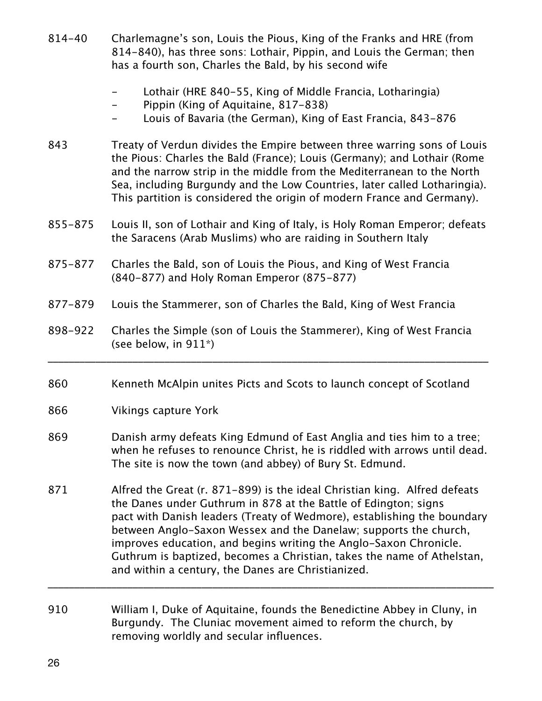- 814-40 Charlemagne's son, Louis the Pious, King of the Franks and HRE (from 814-840), has three sons: Lothair, Pippin, and Louis the German; then has a fourth son, Charles the Bald, by his second wife
	- Lothair (HRE 840-55, King of Middle Francia, Lotharingia)
	- Pippin (King of Aquitaine, 817-838)
	- Louis of Bavaria (the German), King of East Francia, 843-876
- 843 Treaty of Verdun divides the Empire between three warring sons of Louis the Pious: Charles the Bald (France); Louis (Germany); and Lothair (Rome and the narrow strip in the middle from the Mediterranean to the North Sea, including Burgundy and the Low Countries, later called Lotharingia). This partition is considered the origin of modern France and Germany).
- 855-875 Louis II, son of Lothair and King of Italy, is Holy Roman Emperor; defeats the Saracens (Arab Muslims) who are raiding in Southern Italy
- 875-877 Charles the Bald, son of Louis the Pious, and King of West Francia (840-877) and Holy Roman Emperor (875-877)
- 877-879 Louis the Stammerer, son of Charles the Bald, King of West Francia
- 898-922 Charles the Simple (son of Louis the Stammerer), King of West Francia (see below, in 911\*)

\_\_\_\_\_\_\_\_\_\_\_\_\_\_\_\_\_\_\_\_\_\_\_\_\_\_\_\_\_\_\_\_\_\_\_\_\_\_\_\_\_\_\_\_\_\_\_\_\_\_\_\_\_\_\_\_\_\_\_\_\_\_\_\_\_\_\_\_\_\_\_\_\_\_\_\_\_\_\_\_\_\_\_

- 860 Kenneth McAlpin unites Picts and Scots to launch concept of Scotland
- 866 Vikings capture York
- 869 Danish army defeats King Edmund of East Anglia and ties him to a tree; when he refuses to renounce Christ, he is riddled with arrows until dead. The site is now the town (and abbey) of Bury St. Edmund.
- 871 Alfred the Great (r. 871-899) is the ideal Christian king. Alfred defeats the Danes under Guthrum in 878 at the Battle of Edington; signs pact with Danish leaders (Treaty of Wedmore), establishing the boundary between Anglo-Saxon Wessex and the Danelaw; supports the church, improves education, and begins writing the Anglo-Saxon Chronicle. Guthrum is baptized, becomes a Christian, takes the name of Athelstan, and within a century, the Danes are Christianized.

\_\_\_\_\_\_\_\_\_\_\_\_\_\_\_\_\_\_\_\_\_\_\_\_\_\_\_\_\_\_\_\_\_\_\_\_\_\_\_\_\_\_\_\_\_\_\_\_\_\_\_\_\_\_\_\_\_\_\_\_\_\_\_\_\_\_\_\_\_\_\_\_\_\_\_\_\_\_\_\_\_\_\_\_

910 William I, Duke of Aquitaine, founds the Benedictine Abbey in Cluny, in Burgundy. The Cluniac movement aimed to reform the church, by removing worldly and secular influences.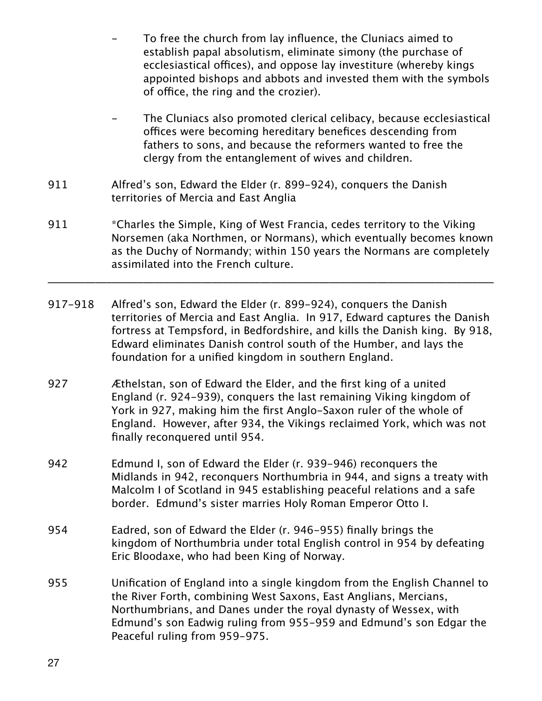- To free the church from lay influence, the Cluniacs aimed to establish papal absolutism, eliminate simony (the purchase of ecclesiastical offices), and oppose lay investiture (whereby kings appointed bishops and abbots and invested them with the symbols of office, the ring and the crozier).
- The Cluniacs also promoted clerical celibacy, because ecclesiastical offices were becoming hereditary benefices descending from fathers to sons, and because the reformers wanted to free the clergy from the entanglement of wives and children.
- 911 Alfred's son, Edward the Elder (r. 899-924), conquers the Danish territories of Mercia and East Anglia
- 911 \*Charles the Simple, King of West Francia, cedes territory to the Viking Norsemen (aka Northmen, or Normans), which eventually becomes known as the Duchy of Normandy; within 150 years the Normans are completely assimilated into the French culture.

\_\_\_\_\_\_\_\_\_\_\_\_\_\_\_\_\_\_\_\_\_\_\_\_\_\_\_\_\_\_\_\_\_\_\_\_\_\_\_\_\_\_\_\_\_\_\_\_\_\_\_\_\_\_\_\_\_\_\_\_\_\_\_\_\_\_\_\_\_\_\_\_\_\_\_\_\_\_\_\_\_\_\_\_

- 917-918 Alfred's son, Edward the Elder (r. 899-924), conquers the Danish territories of Mercia and East Anglia. In 917, Edward captures the Danish fortress at Tempsford, in Bedfordshire, and kills the Danish king. By 918, Edward eliminates Danish control south of the Humber, and lays the foundation for a unified kingdom in southern England.
- 927 Æthelstan, son of Edward the Elder, and the first king of a united England (r. 924-939), conquers the last remaining Viking kingdom of York in 927, making him the first Anglo-Saxon ruler of the whole of England. However, after 934, the Vikings reclaimed York, which was not finally reconquered until 954.
- 942 Edmund I, son of Edward the Elder (r. 939-946) reconquers the Midlands in 942, reconquers Northumbria in 944, and signs a treaty with Malcolm I of Scotland in 945 establishing peaceful relations and a safe border. Edmund's sister marries Holy Roman Emperor Otto I.
- 954 Eadred, son of Edward the Elder (r. 946-955) finally brings the kingdom of Northumbria under total English control in 954 by defeating Eric Bloodaxe, who had been King of Norway.
- 955 Unification of England into a single kingdom from the English Channel to the River Forth, combining West Saxons, East Anglians, Mercians, Northumbrians, and Danes under the royal dynasty of Wessex, with Edmund's son Eadwig ruling from 955-959 and Edmund's son Edgar the Peaceful ruling from 959-975.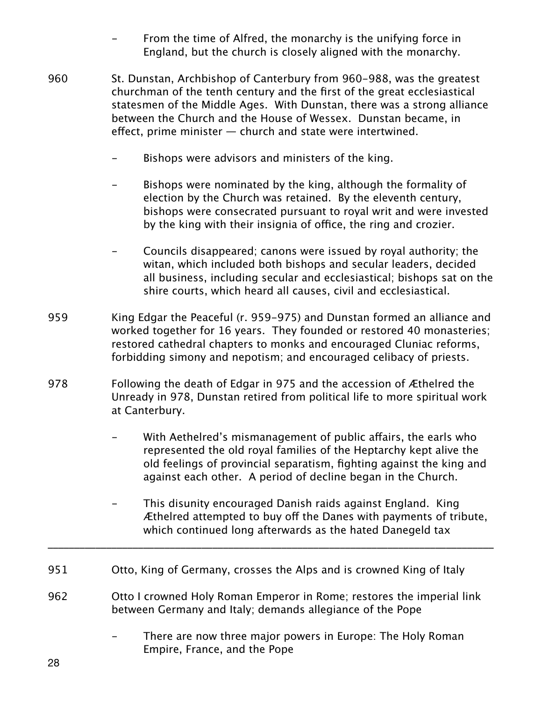- From the time of Alfred, the monarchy is the unifying force in England, but the church is closely aligned with the monarchy.
- 960 St. Dunstan, Archbishop of Canterbury from 960-988, was the greatest churchman of the tenth century and the first of the great ecclesiastical statesmen of the Middle Ages. With Dunstan, there was a strong alliance between the Church and the House of Wessex. Dunstan became, in efect, prime minister — church and state were intertwined.
	- Bishops were advisors and ministers of the king.
	- Bishops were nominated by the king, although the formality of election by the Church was retained. By the eleventh century, bishops were consecrated pursuant to royal writ and were invested by the king with their insignia of office, the ring and crozier.
	- Councils disappeared; canons were issued by royal authority; the witan, which included both bishops and secular leaders, decided all business, including secular and ecclesiastical; bishops sat on the shire courts, which heard all causes, civil and ecclesiastical.
- 959 King Edgar the Peaceful (r. 959-975) and Dunstan formed an alliance and worked together for 16 years. They founded or restored 40 monasteries; restored cathedral chapters to monks and encouraged Cluniac reforms, forbidding simony and nepotism; and encouraged celibacy of priests.
- 978 Following the death of Edgar in 975 and the accession of Æthelred the Unready in 978, Dunstan retired from political life to more spiritual work at Canterbury.
	- With Aethelred's mismanagement of public affairs, the earls who represented the old royal families of the Heptarchy kept alive the old feelings of provincial separatism, fighting against the king and against each other. A period of decline began in the Church.
	- This disunity encouraged Danish raids against England. King Æthelred attempted to buy off the Danes with payments of tribute, which continued long afterwards as the hated Danegeld tax
- 951 Otto, King of Germany, crosses the Alps and is crowned King of Italy
- 962 Otto I crowned Holy Roman Emperor in Rome; restores the imperial link between Germany and Italy; demands allegiance of the Pope

\_\_\_\_\_\_\_\_\_\_\_\_\_\_\_\_\_\_\_\_\_\_\_\_\_\_\_\_\_\_\_\_\_\_\_\_\_\_\_\_\_\_\_\_\_\_\_\_\_\_\_\_\_\_\_\_\_\_\_\_\_\_\_\_\_\_\_\_\_\_\_\_\_\_\_\_\_\_\_\_\_\_\_\_

There are now three major powers in Europe: The Holy Roman Empire, France, and the Pope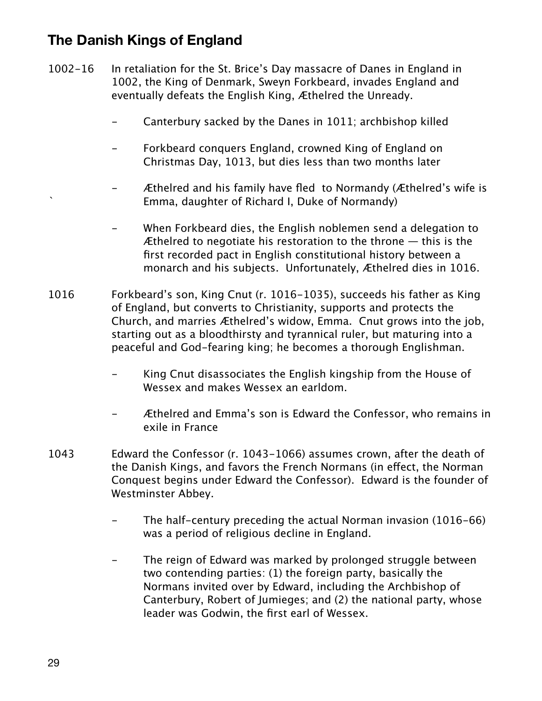# **The Danish Kings of England**

- 1002-16 In retaliation for the St. Brice's Day massacre of Danes in England in 1002, the King of Denmark, Sweyn Forkbeard, invades England and eventually defeats the English King, Æthelred the Unready.
	- Canterbury sacked by the Danes in 1011; archbishop killed
	- Forkbeard conquers England, crowned King of England on Christmas Day, 1013, but dies less than two months later
	- Æthelred and his family have fled to Normandy (Æthelred's wife is ` Emma, daughter of Richard I, Duke of Normandy)
	- When Forkbeard dies, the English noblemen send a delegation to Æthelred to negotiate his restoration to the throne  $-$  this is the first recorded pact in English constitutional history between a monarch and his subjects. Unfortunately, Æthelred dies in 1016.
- 1016 Forkbeard's son, King Cnut (r. 1016-1035), succeeds his father as King of England, but converts to Christianity, supports and protects the Church, and marries Æthelred's widow, Emma. Cnut grows into the job, starting out as a bloodthirsty and tyrannical ruler, but maturing into a peaceful and God-fearing king; he becomes a thorough Englishman.
	- King Cnut disassociates the English kingship from the House of Wessex and makes Wessex an earldom.
	- Æthelred and Emma's son is Edward the Confessor, who remains in exile in France
- 1043 Edward the Confessor (r. 1043-1066) assumes crown, after the death of the Danish Kings, and favors the French Normans (in efect, the Norman Conquest begins under Edward the Confessor). Edward is the founder of Westminster Abbey.
	- The half-century preceding the actual Norman invasion (1016-66) was a period of religious decline in England.
	- The reign of Edward was marked by prolonged struggle between two contending parties: (1) the foreign party, basically the Normans invited over by Edward, including the Archbishop of Canterbury, Robert of Jumieges; and (2) the national party, whose leader was Godwin, the first earl of Wessex.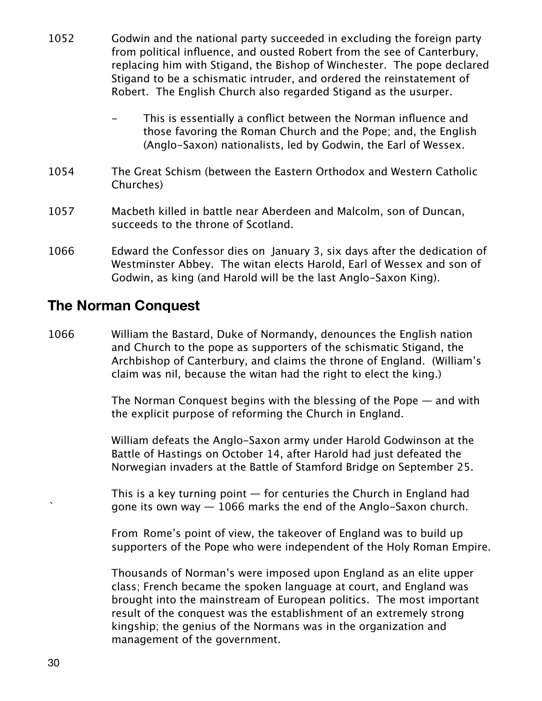- 1052 Godwin and the national party succeeded in excluding the foreign party from political influence, and ousted Robert from the see of Canterbury, replacing him with Stigand, the Bishop of Winchester. The pope declared Stigand to be a schismatic intruder, and ordered the reinstatement of Robert. The English Church also regarded Stigand as the usurper.
	- This is essentially a conflict between the Norman influence and those favoring the Roman Church and the Pope; and, the English (Anglo-Saxon) nationalists, led by Godwin, the Earl of Wessex.
- 1054 The Great Schism (between the Eastern Orthodox and Western Catholic Churches)
- 1057 Macbeth killed in battle near Aberdeen and Malcolm, son of Duncan, succeeds to the throne of Scotland.
- 1066 Edward the Confessor dies on January 3, six days after the dedication of Westminster Abbey. The witan elects Harold, Earl of Wessex and son of Godwin, as king (and Harold will be the last Anglo-Saxon King).

#### **The Norman Conquest**

1066 William the Bastard, Duke of Normandy, denounces the English nation and Church to the pope as supporters of the schismatic Stigand, the Archbishop of Canterbury, and claims the throne of England. (William's claim was nil, because the witan had the right to elect the king.)

> The Norman Conquest begins with the blessing of the Pope — and with the explicit purpose of reforming the Church in England.

William defeats the Anglo-Saxon army under Harold Godwinson at the Battle of Hastings on October 14, after Harold had just defeated the Norwegian invaders at the Battle of Stamford Bridge on September 25.

This is a key turning point  $-$  for centuries the Church in England had gone its own way  $-1066$  marks the end of the Anglo-Saxon church.

From Rome's point of view, the takeover of England was to build up supporters of the Pope who were independent of the Holy Roman Empire.

Thousands of Norman's were imposed upon England as an elite upper class; French became the spoken language at court, and England was brought into the mainstream of European politics. The most important result of the conquest was the establishment of an extremely strong kingship; the genius of the Normans was in the organization and management of the government.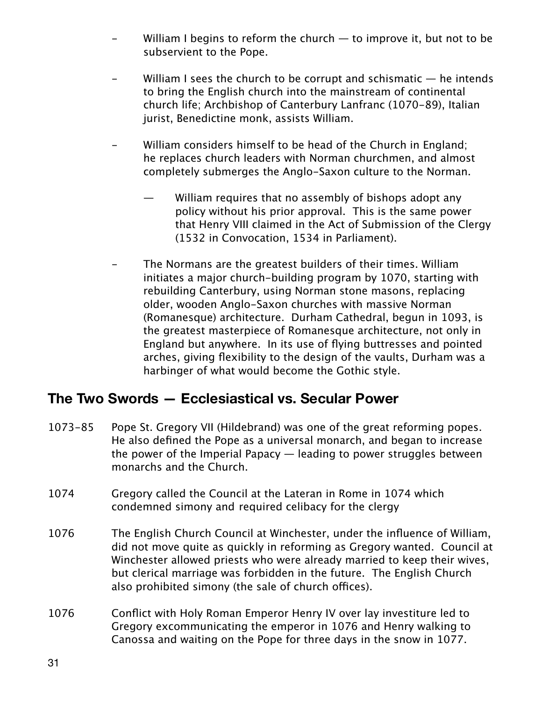- William I begins to reform the church  $-$  to improve it, but not to be subservient to the Pope.
- William I sees the church to be corrupt and schismatic  $-$  he intends to bring the English church into the mainstream of continental church life; Archbishop of Canterbury Lanfranc (1070-89), Italian jurist, Benedictine monk, assists William.
- William considers himself to be head of the Church in England; he replaces church leaders with Norman churchmen, and almost completely submerges the Anglo-Saxon culture to the Norman.
	- William requires that no assembly of bishops adopt any policy without his prior approval. This is the same power that Henry VIII claimed in the Act of Submission of the Clergy (1532 in Convocation, 1534 in Parliament).
- The Normans are the greatest builders of their times. William initiates a major church-building program by 1070, starting with rebuilding Canterbury, using Norman stone masons, replacing older, wooden Anglo-Saxon churches with massive Norman (Romanesque) architecture. Durham Cathedral, begun in 1093, is the greatest masterpiece of Romanesque architecture, not only in England but anywhere. In its use of flying buttresses and pointed arches, giving flexibility to the design of the vaults, Durham was a harbinger of what would become the Gothic style.

# **The Two Swords — Ecclesiastical vs. Secular Power**

- 1073-85 Pope St. Gregory VII (Hildebrand) was one of the great reforming popes. He also defined the Pope as a universal monarch, and began to increase the power of the Imperial Papacy — leading to power struggles between monarchs and the Church.
- 1074 Gregory called the Council at the Lateran in Rome in 1074 which condemned simony and required celibacy for the clergy
- 1076 The English Church Council at Winchester, under the influence of William, did not move quite as quickly in reforming as Gregory wanted. Council at Winchester allowed priests who were already married to keep their wives, but clerical marriage was forbidden in the future. The English Church also prohibited simony (the sale of church offices).
- 1076 Conflict with Holy Roman Emperor Henry IV over lay investiture led to Gregory excommunicating the emperor in 1076 and Henry walking to Canossa and waiting on the Pope for three days in the snow in 1077.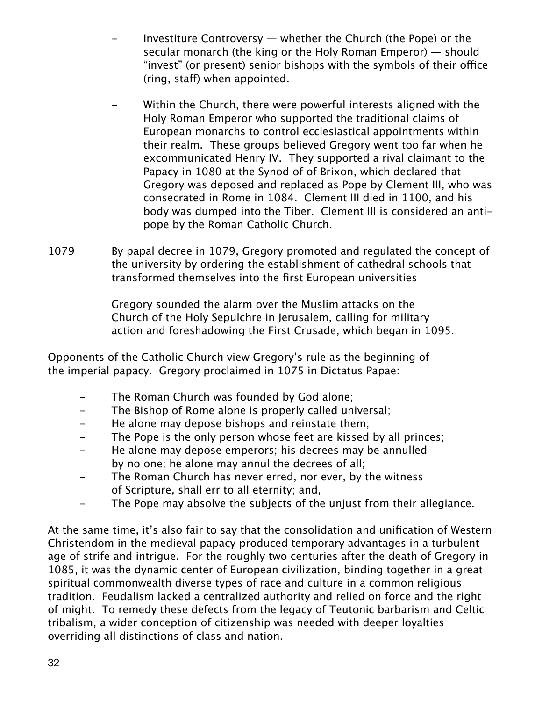- Investiture Controversy  $-$  whether the Church (the Pope) or the secular monarch (the king or the Holy Roman Emperor) — should "invest" (or present) senior bishops with the symbols of their office (ring, staff) when appointed.
- Within the Church, there were powerful interests aligned with the Holy Roman Emperor who supported the traditional claims of European monarchs to control ecclesiastical appointments within their realm. These groups believed Gregory went too far when he excommunicated Henry IV. They supported a rival claimant to the Papacy in 1080 at the Synod of of Brixon, which declared that Gregory was deposed and replaced as Pope by Clement III, who was consecrated in Rome in 1084. Clement III died in 1100, and his body was dumped into the Tiber. Clement III is considered an antipope by the Roman Catholic Church.
- 1079 By papal decree in 1079, Gregory promoted and regulated the concept of the university by ordering the establishment of cathedral schools that transformed themselves into the first European universities

Gregory sounded the alarm over the Muslim attacks on the Church of the Holy Sepulchre in Jerusalem, calling for military action and foreshadowing the First Crusade, which began in 1095.

Opponents of the Catholic Church view Gregory's rule as the beginning of the imperial papacy. Gregory proclaimed in 1075 in Dictatus Papae:

- The Roman Church was founded by God alone;
- The Bishop of Rome alone is properly called universal;
- He alone may depose bishops and reinstate them;
- The Pope is the only person whose feet are kissed by all princes;
- He alone may depose emperors; his decrees may be annulled by no one; he alone may annul the decrees of all;
- The Roman Church has never erred, nor ever, by the witness of Scripture, shall err to all eternity; and,
- The Pope may absolve the subjects of the unjust from their allegiance.

At the same time, it's also fair to say that the consolidation and unification of Western Christendom in the medieval papacy produced temporary advantages in a turbulent age of strife and intrigue. For the roughly two centuries after the death of Gregory in 1085, it was the dynamic center of European civilization, binding together in a great spiritual commonwealth diverse types of race and culture in a common religious tradition. Feudalism lacked a centralized authority and relied on force and the right of might. To remedy these defects from the legacy of Teutonic barbarism and Celtic tribalism, a wider conception of citizenship was needed with deeper loyalties overriding all distinctions of class and nation.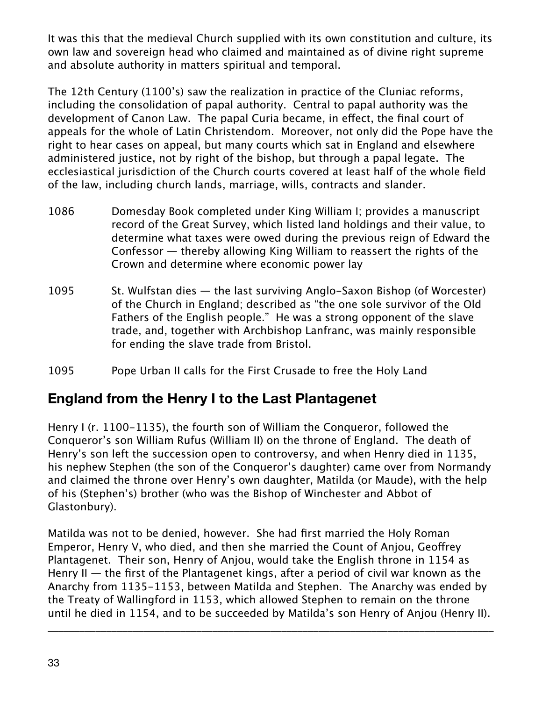It was this that the medieval Church supplied with its own constitution and culture, its own law and sovereign head who claimed and maintained as of divine right supreme and absolute authority in matters spiritual and temporal.

The 12th Century (1100's) saw the realization in practice of the Cluniac reforms, including the consolidation of papal authority. Central to papal authority was the development of Canon Law. The papal Curia became, in efect, the final court of appeals for the whole of Latin Christendom. Moreover, not only did the Pope have the right to hear cases on appeal, but many courts which sat in England and elsewhere administered justice, not by right of the bishop, but through a papal legate. The ecclesiastical jurisdiction of the Church courts covered at least half of the whole field of the law, including church lands, marriage, wills, contracts and slander.

- 1086 Domesday Book completed under King William I; provides a manuscript record of the Great Survey, which listed land holdings and their value, to determine what taxes were owed during the previous reign of Edward the Confessor — thereby allowing King William to reassert the rights of the Crown and determine where economic power lay
- 1095 St. Wulfstan dies the last surviving Anglo-Saxon Bishop (of Worcester) of the Church in England; described as "the one sole survivor of the Old Fathers of the English people." He was a strong opponent of the slave trade, and, together with Archbishop Lanfranc, was mainly responsible for ending the slave trade from Bristol.
- 1095 Pope Urban II calls for the First Crusade to free the Holy Land

# **England from the Henry I to the Last Plantagenet**

Henry I (r. 1100-1135), the fourth son of William the Conqueror, followed the Conqueror's son William Rufus (William II) on the throne of England. The death of Henry's son left the succession open to controversy, and when Henry died in 1135, his nephew Stephen (the son of the Conqueror's daughter) came over from Normandy and claimed the throne over Henry's own daughter, Matilda (or Maude), with the help of his (Stephen's) brother (who was the Bishop of Winchester and Abbot of Glastonbury).

Matilda was not to be denied, however. She had first married the Holy Roman Emperor, Henry V, who died, and then she married the Count of Anjou, Geofrey Plantagenet. Their son, Henry of Anjou, would take the English throne in 1154 as Henry II  $-$  the first of the Plantagenet kings, after a period of civil war known as the Anarchy from 1135-1153, between Matilda and Stephen. The Anarchy was ended by the Treaty of Wallingford in 1153, which allowed Stephen to remain on the throne until he died in 1154, and to be succeeded by Matilda's son Henry of Anjou (Henry II).

\_\_\_\_\_\_\_\_\_\_\_\_\_\_\_\_\_\_\_\_\_\_\_\_\_\_\_\_\_\_\_\_\_\_\_\_\_\_\_\_\_\_\_\_\_\_\_\_\_\_\_\_\_\_\_\_\_\_\_\_\_\_\_\_\_\_\_\_\_\_\_\_\_\_\_\_\_\_\_\_\_\_\_\_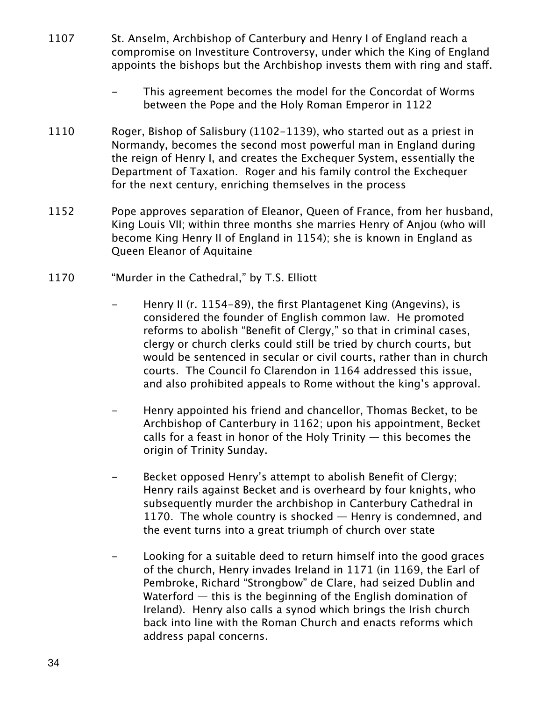- 1107 St. Anselm, Archbishop of Canterbury and Henry I of England reach a compromise on Investiture Controversy, under which the King of England appoints the bishops but the Archbishop invests them with ring and staf.
	- This agreement becomes the model for the Concordat of Worms between the Pope and the Holy Roman Emperor in 1122
- 1110 Roger, Bishop of Salisbury (1102-1139), who started out as a priest in Normandy, becomes the second most powerful man in England during the reign of Henry I, and creates the Exchequer System, essentially the Department of Taxation. Roger and his family control the Exchequer for the next century, enriching themselves in the process
- 1152 Pope approves separation of Eleanor, Queen of France, from her husband, King Louis VII; within three months she marries Henry of Anjou (who will become King Henry II of England in 1154); she is known in England as Queen Eleanor of Aquitaine
- 1170 "Murder in the Cathedral," by T.S. Elliott
	- Henry II (r. 1154-89), the first Plantagenet King (Angevins), is considered the founder of English common law. He promoted reforms to abolish "Benefit of Clergy," so that in criminal cases, clergy or church clerks could still be tried by church courts, but would be sentenced in secular or civil courts, rather than in church courts. The Council fo Clarendon in 1164 addressed this issue, and also prohibited appeals to Rome without the king's approval.
	- Henry appointed his friend and chancellor, Thomas Becket, to be Archbishop of Canterbury in 1162; upon his appointment, Becket calls for a feast in honor of the Holy Trinity  $-$  this becomes the origin of Trinity Sunday.
	- Becket opposed Henry's attempt to abolish Benefit of Clergy; Henry rails against Becket and is overheard by four knights, who subsequently murder the archbishop in Canterbury Cathedral in 1170. The whole country is shocked – Henry is condemned, and the event turns into a great triumph of church over state
	- Looking for a suitable deed to return himself into the good graces of the church, Henry invades Ireland in 1171 (in 1169, the Earl of Pembroke, Richard "Strongbow" de Clare, had seized Dublin and Waterford — this is the beginning of the English domination of Ireland). Henry also calls a synod which brings the Irish church back into line with the Roman Church and enacts reforms which address papal concerns.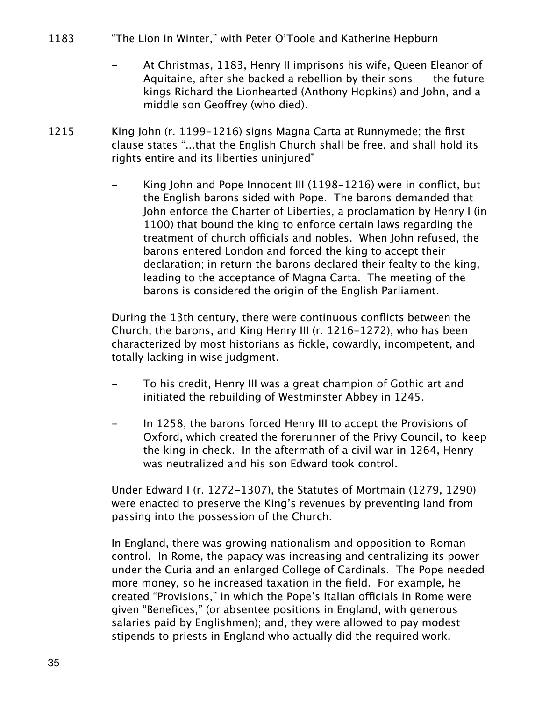- 1183 "The Lion in Winter," with Peter O'Toole and Katherine Hepburn
	- At Christmas, 1183, Henry II imprisons his wife, Queen Eleanor of Aquitaine, after she backed a rebellion by their sons  $-$  the future kings Richard the Lionhearted (Anthony Hopkins) and John, and a middle son Geofrey (who died).
- 1215 King John (r. 1199-1216) signs Magna Carta at Runnymede; the first clause states "...that the English Church shall be free, and shall hold its rights entire and its liberties uninjured"
	- King John and Pope Innocent III (1198-1216) were in conflict, but the English barons sided with Pope. The barons demanded that John enforce the Charter of Liberties, a proclamation by Henry I (in 1100) that bound the king to enforce certain laws regarding the treatment of church officials and nobles. When John refused, the barons entered London and forced the king to accept their declaration; in return the barons declared their fealty to the king, leading to the acceptance of Magna Carta. The meeting of the barons is considered the origin of the English Parliament.

During the 13th century, there were continuous conflicts between the Church, the barons, and King Henry III (r. 1216-1272), who has been characterized by most historians as fickle, cowardly, incompetent, and totally lacking in wise judgment.

- To his credit, Henry III was a great champion of Gothic art and initiated the rebuilding of Westminster Abbey in 1245.
- In 1258, the barons forced Henry III to accept the Provisions of Oxford, which created the forerunner of the Privy Council, to keep the king in check. In the aftermath of a civil war in 1264, Henry was neutralized and his son Edward took control.

Under Edward I (r. 1272-1307), the Statutes of Mortmain (1279, 1290) were enacted to preserve the King's revenues by preventing land from passing into the possession of the Church.

In England, there was growing nationalism and opposition to Roman control. In Rome, the papacy was increasing and centralizing its power under the Curia and an enlarged College of Cardinals. The Pope needed more money, so he increased taxation in the field. For example, he created "Provisions," in which the Pope's Italian officials in Rome were given "Benefices," (or absentee positions in England, with generous salaries paid by Englishmen); and, they were allowed to pay modest stipends to priests in England who actually did the required work.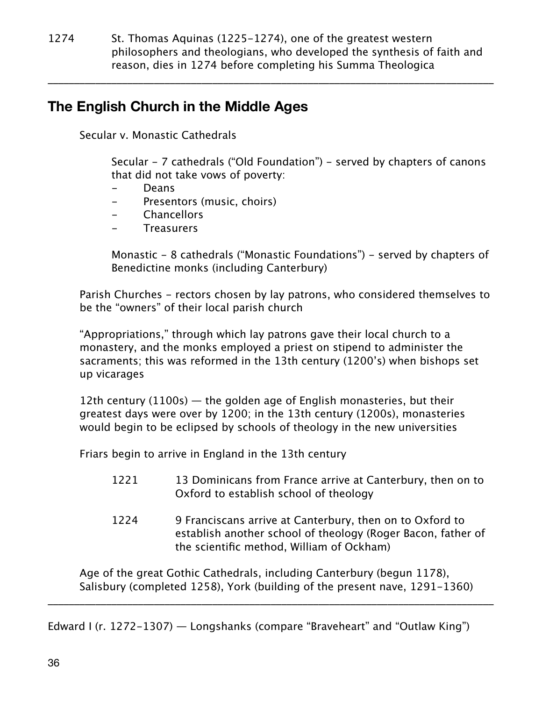1274 St. Thomas Aquinas (1225-1274), one of the greatest western philosophers and theologians, who developed the synthesis of faith and reason, dies in 1274 before completing his Summa Theologica

\_\_\_\_\_\_\_\_\_\_\_\_\_\_\_\_\_\_\_\_\_\_\_\_\_\_\_\_\_\_\_\_\_\_\_\_\_\_\_\_\_\_\_\_\_\_\_\_\_\_\_\_\_\_\_\_\_\_\_\_\_\_\_\_\_\_\_\_\_\_\_\_\_\_\_\_\_\_\_\_\_\_\_\_

# **The English Church in the Middle Ages**

Secular v. Monastic Cathedrals

Secular - 7 cathedrals ("Old Foundation") - served by chapters of canons that did not take vows of poverty:

- Deans
- Presentors (music, choirs)
- **Chancellors**
- Treasurers

Monastic - 8 cathedrals ("Monastic Foundations") - served by chapters of Benedictine monks (including Canterbury)

Parish Churches - rectors chosen by lay patrons, who considered themselves to be the "owners" of their local parish church

"Appropriations," through which lay patrons gave their local church to a monastery, and the monks employed a priest on stipend to administer the sacraments; this was reformed in the 13th century (1200's) when bishops set up vicarages

12th century (1100s)  $-$  the golden age of English monasteries, but their greatest days were over by 1200; in the 13th century (1200s), monasteries would begin to be eclipsed by schools of theology in the new universities

Friars begin to arrive in England in the 13th century

- 1221 13 Dominicans from France arrive at Canterbury, then on to Oxford to establish school of theology
- 1224 9 Franciscans arrive at Canterbury, then on to Oxford to establish another school of theology (Roger Bacon, father of the scientific method, William of Ockham)

Age of the great Gothic Cathedrals, including Canterbury (begun 1178), Salisbury (completed 1258), York (building of the present nave, 1291-1360)

\_\_\_\_\_\_\_\_\_\_\_\_\_\_\_\_\_\_\_\_\_\_\_\_\_\_\_\_\_\_\_\_\_\_\_\_\_\_\_\_\_\_\_\_\_\_\_\_\_\_\_\_\_\_\_\_\_\_\_\_\_\_\_\_\_\_\_\_\_\_\_\_\_\_\_\_\_\_\_\_\_\_\_\_

Edward I (r. 1272-1307) — Longshanks (compare "Braveheart" and "Outlaw King")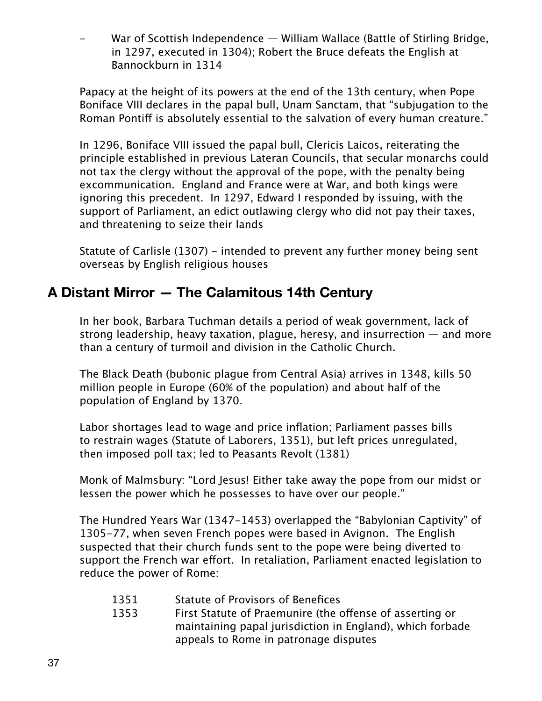War of Scottish Independence — William Wallace (Battle of Stirling Bridge, in 1297, executed in 1304); Robert the Bruce defeats the English at Bannockburn in 1314

Papacy at the height of its powers at the end of the 13th century, when Pope Boniface VIII declares in the papal bull, Unam Sanctam, that "subjugation to the Roman Pontiff is absolutely essential to the salvation of every human creature."

In 1296, Boniface VIII issued the papal bull, Clericis Laicos, reiterating the principle established in previous Lateran Councils, that secular monarchs could not tax the clergy without the approval of the pope, with the penalty being excommunication. England and France were at War, and both kings were ignoring this precedent. In 1297, Edward I responded by issuing, with the support of Parliament, an edict outlawing clergy who did not pay their taxes, and threatening to seize their lands

Statute of Carlisle (1307) - intended to prevent any further money being sent overseas by English religious houses

# **A Distant Mirror — The Calamitous 14th Century**

In her book, Barbara Tuchman details a period of weak government, lack of strong leadership, heavy taxation, plague, heresy, and insurrection — and more than a century of turmoil and division in the Catholic Church.

The Black Death (bubonic plague from Central Asia) arrives in 1348, kills 50 million people in Europe (60% of the population) and about half of the population of England by 1370.

Labor shortages lead to wage and price inflation; Parliament passes bills to restrain wages (Statute of Laborers, 1351), but left prices unregulated, then imposed poll tax; led to Peasants Revolt (1381)

Monk of Malmsbury: "Lord Jesus! Either take away the pope from our midst or lessen the power which he possesses to have over our people."

The Hundred Years War (1347-1453) overlapped the "Babylonian Captivity" of 1305-77, when seven French popes were based in Avignon. The English suspected that their church funds sent to the pope were being diverted to support the French war effort. In retaliation, Parliament enacted legislation to reduce the power of Rome:

- 1351 Statute of Provisors of Benefices
- 1353 First Statute of Praemunire (the ofense of asserting or maintaining papal jurisdiction in England), which forbade appeals to Rome in patronage disputes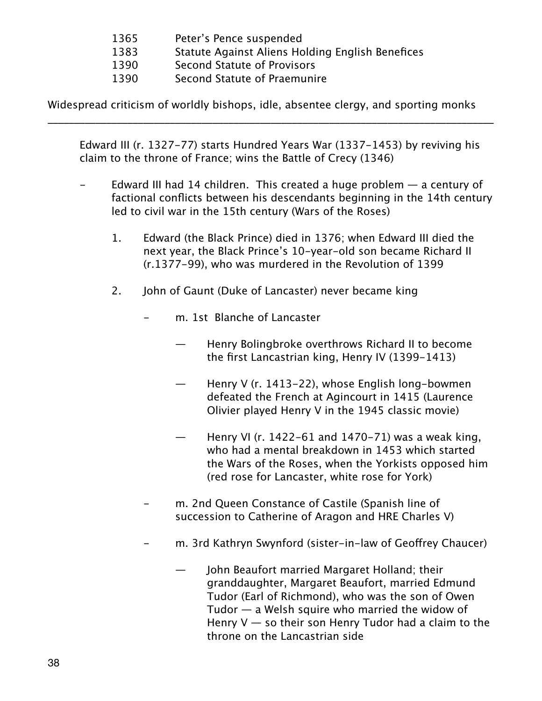- 1365 Peter's Pence suspended
- 1383 Statute Against Aliens Holding English Benefices
- 1390 Second Statute of Provisors
- 1390 Second Statute of Praemunire

Widespread criticism of worldly bishops, idle, absentee clergy, and sporting monks

\_\_\_\_\_\_\_\_\_\_\_\_\_\_\_\_\_\_\_\_\_\_\_\_\_\_\_\_\_\_\_\_\_\_\_\_\_\_\_\_\_\_\_\_\_\_\_\_\_\_\_\_\_\_\_\_\_\_\_\_\_\_\_\_\_\_\_\_\_\_\_\_\_\_\_\_\_\_\_\_\_\_\_\_

Edward III (r. 1327-77) starts Hundred Years War (1337-1453) by reviving his claim to the throne of France; wins the Battle of Crecy (1346)

- Edward III had 14 children. This created a huge problem a century of factional conflicts between his descendants beginning in the 14th century led to civil war in the 15th century (Wars of the Roses)
	- 1. Edward (the Black Prince) died in 1376; when Edward III died the next year, the Black Prince's 10-year-old son became Richard II (r.1377-99), who was murdered in the Revolution of 1399
	- 2. John of Gaunt (Duke of Lancaster) never became king
		- m. 1st Blanche of Lancaster
			- Henry Bolingbroke overthrows Richard II to become the first Lancastrian king, Henry IV (1399-1413)
			- Henry V (r. 1413–22), whose English long-bowmen defeated the French at Agincourt in 1415 (Laurence Olivier played Henry V in the 1945 classic movie)
			- Henry VI (r. 1422-61 and 1470-71) was a weak king, who had a mental breakdown in 1453 which started the Wars of the Roses, when the Yorkists opposed him (red rose for Lancaster, white rose for York)
		- m. 2nd Queen Constance of Castile (Spanish line of succession to Catherine of Aragon and HRE Charles V)
		- m. 3rd Kathryn Swynford (sister-in-law of Geoffrey Chaucer)
			- John Beaufort married Margaret Holland; their granddaughter, Margaret Beaufort, married Edmund Tudor (Earl of Richmond), who was the son of Owen Tudor  $-$  a Welsh squire who married the widow of Henry  $V -$  so their son Henry Tudor had a claim to the throne on the Lancastrian side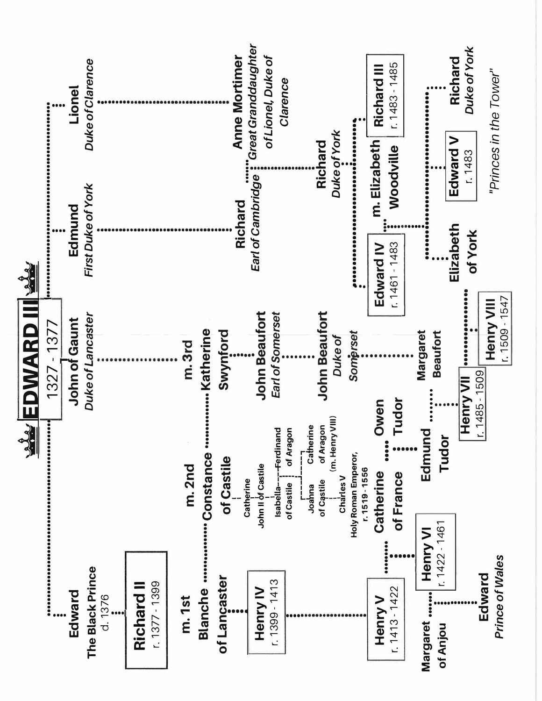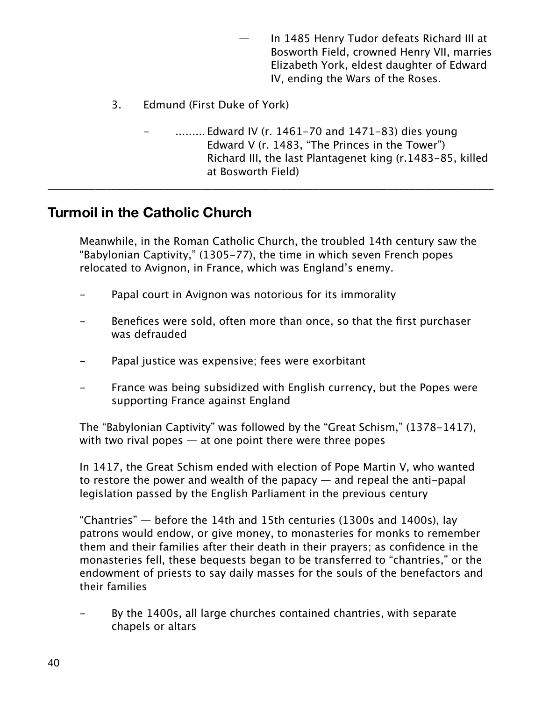- In 1485 Henry Tudor defeats Richard III at Bosworth Field, crowned Henry VII, marries Elizabeth York, eldest daughter of Edward IV, ending the Wars of the Roses.
- 3. Edmund (First Duke of York)
	- ......... Edward IV (r. 1461–70 and 1471–83) dies young Edward V (r. 1483, "The Princes in the Tower") Richard III, the last Plantagenet king (r.1483-85, killed at Bosworth Field)

## **Turmoil in the Catholic Church**

Meanwhile, in the Roman Catholic Church, the troubled 14th century saw the "Babylonian Captivity," (1305-77), the time in which seven French popes relocated to Avignon, in France, which was England's enemy.

\_\_\_\_\_\_\_\_\_\_\_\_\_\_\_\_\_\_\_\_\_\_\_\_\_\_\_\_\_\_\_\_\_\_\_\_\_\_\_\_\_\_\_\_\_\_\_\_\_\_\_\_\_\_\_\_\_\_\_\_\_\_\_\_\_\_\_\_\_\_\_\_\_\_\_\_\_\_\_\_\_\_\_\_

- Papal court in Avignon was notorious for its immorality
- Benefices were sold, often more than once, so that the first purchaser was defrauded
- Papal justice was expensive; fees were exorbitant
- France was being subsidized with English currency, but the Popes were supporting France against England

The "Babylonian Captivity" was followed by the "Great Schism," (1378-1417), with two rival popes  $-$  at one point there were three popes

In 1417, the Great Schism ended with election of Pope Martin V, who wanted to restore the power and wealth of the papacy  $-$  and repeal the anti-papal legislation passed by the English Parliament in the previous century

"Chantries" — before the 14th and 15th centuries (1300s and 1400s), lay patrons would endow, or give money, to monasteries for monks to remember them and their families after their death in their prayers; as confidence in the monasteries fell, these bequests began to be transferred to "chantries," or the endowment of priests to say daily masses for the souls of the benefactors and their families

By the 1400s, all large churches contained chantries, with separate chapels or altars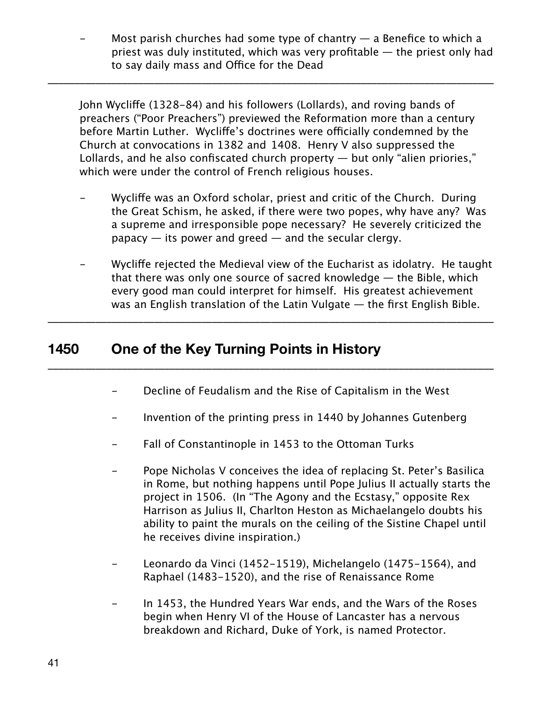Most parish churches had some type of chantry  $-$  a Benefice to which a priest was duly instituted, which was very profitable — the priest only had to say daily mass and Office for the Dead

John Wyclife (1328-84) and his followers (Lollards), and roving bands of preachers ("Poor Preachers") previewed the Reformation more than a century before Martin Luther. Wycliffe's doctrines were officially condemned by the Church at convocations in 1382 and 1408. Henry V also suppressed the Lollards, and he also confiscated church property — but only "alien priories," which were under the control of French religious houses.

\_\_\_\_\_\_\_\_\_\_\_\_\_\_\_\_\_\_\_\_\_\_\_\_\_\_\_\_\_\_\_\_\_\_\_\_\_\_\_\_\_\_\_\_\_\_\_\_\_\_\_\_\_\_\_\_\_\_\_\_\_\_\_\_\_\_\_\_\_\_\_\_\_\_\_\_\_\_\_\_\_\_\_\_

- Wyclife was an Oxford scholar, priest and critic of the Church. During the Great Schism, he asked, if there were two popes, why have any? Was a supreme and irresponsible pope necessary? He severely criticized the  $p$ apacy  $-$  its power and greed  $-$  and the secular clergy.
- Wycliffe rejected the Medieval view of the Eucharist as idolatry. He taught that there was only one source of sacred knowledge — the Bible, which every good man could interpret for himself. His greatest achievement was an English translation of the Latin Vulgate — the first English Bible.

\_\_\_\_\_\_\_\_\_\_\_\_\_\_\_\_\_\_\_\_\_\_\_\_\_\_\_\_\_\_\_\_\_\_\_\_\_\_\_\_\_\_\_\_\_\_\_\_\_\_\_\_\_\_\_\_\_\_\_\_\_\_\_\_\_\_\_\_\_\_\_\_\_\_\_\_\_\_\_\_\_\_\_\_

\_\_\_\_\_\_\_\_\_\_\_\_\_\_\_\_\_\_\_\_\_\_\_\_\_\_\_\_\_\_\_\_\_\_\_\_\_\_\_\_\_\_\_\_\_\_\_\_\_\_\_\_\_\_\_\_\_\_\_\_\_\_\_\_\_\_\_\_\_\_\_\_\_\_\_\_\_\_\_\_\_\_\_\_

#### **1450 One of the Key Turning Points in History**

- Decline of Feudalism and the Rise of Capitalism in the West
- Invention of the printing press in 1440 by Johannes Gutenberg
- Fall of Constantinople in 1453 to the Ottoman Turks
- Pope Nicholas V conceives the idea of replacing St. Peter's Basilica in Rome, but nothing happens until Pope Julius II actually starts the project in 1506. (In "The Agony and the Ecstasy," opposite Rex Harrison as Julius II, Charlton Heston as Michaelangelo doubts his ability to paint the murals on the ceiling of the Sistine Chapel until he receives divine inspiration.)
- Leonardo da Vinci (1452–1519), Michelangelo (1475–1564), and Raphael (1483-1520), and the rise of Renaissance Rome
- In 1453, the Hundred Years War ends, and the Wars of the Roses begin when Henry VI of the House of Lancaster has a nervous breakdown and Richard, Duke of York, is named Protector.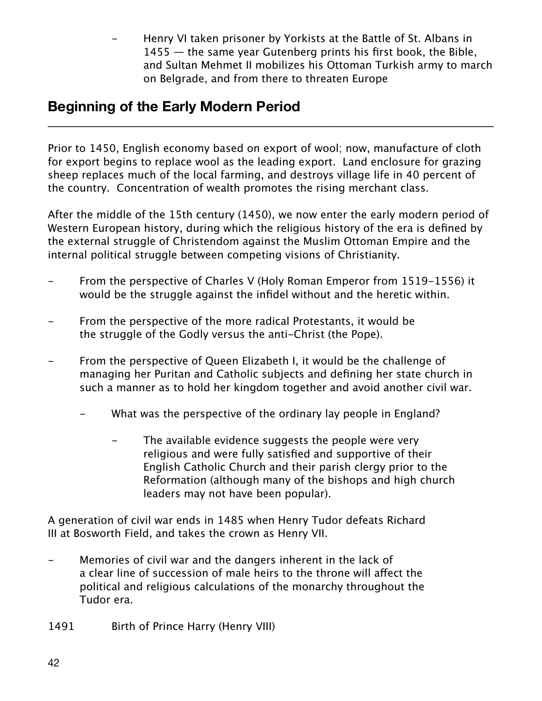Henry VI taken prisoner by Yorkists at the Battle of St. Albans in 1455 — the same year Gutenberg prints his first book, the Bible, and Sultan Mehmet II mobilizes his Ottoman Turkish army to march on Belgrade, and from there to threaten Europe

# **Beginning of the Early Modern Period**

Prior to 1450, English economy based on export of wool; now, manufacture of cloth for export begins to replace wool as the leading export. Land enclosure for grazing sheep replaces much of the local farming, and destroys village life in 40 percent of the country. Concentration of wealth promotes the rising merchant class.

\_\_\_\_\_\_\_\_\_\_\_\_\_\_\_\_\_\_\_\_\_\_\_\_\_\_\_\_\_\_\_\_\_\_\_\_\_\_\_\_\_\_\_\_\_\_\_\_\_\_\_\_\_\_\_\_\_\_\_\_\_\_\_\_\_\_\_\_\_\_\_\_\_\_\_\_\_\_\_\_\_\_\_\_

After the middle of the 15th century (1450), we now enter the early modern period of Western European history, during which the religious history of the era is defined by the external struggle of Christendom against the Muslim Ottoman Empire and the internal political struggle between competing visions of Christianity.

- From the perspective of Charles V (Holy Roman Emperor from 1519-1556) it would be the struggle against the infidel without and the heretic within.
- From the perspective of the more radical Protestants, it would be the struggle of the Godly versus the anti-Christ (the Pope).
- From the perspective of Queen Elizabeth I, it would be the challenge of managing her Puritan and Catholic subjects and defining her state church in such a manner as to hold her kingdom together and avoid another civil war.
	- What was the perspective of the ordinary lay people in England?
		- The available evidence suggests the people were very religious and were fully satisfied and supportive of their English Catholic Church and their parish clergy prior to the Reformation (although many of the bishops and high church leaders may not have been popular).

A generation of civil war ends in 1485 when Henry Tudor defeats Richard III at Bosworth Field, and takes the crown as Henry VII.

- Memories of civil war and the dangers inherent in the lack of a clear line of succession of male heirs to the throne will afect the political and religious calculations of the monarchy throughout the Tudor era.
- 1491 Birth of Prince Harry (Henry VIII)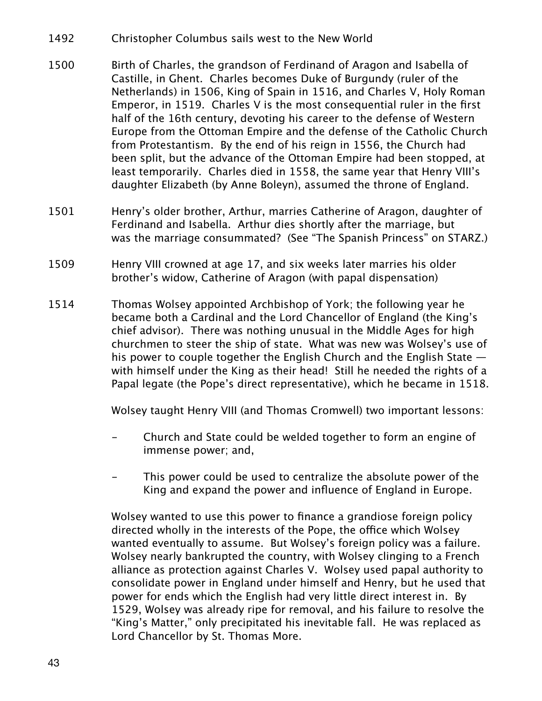- 1492 Christopher Columbus sails west to the New World
- 1500 Birth of Charles, the grandson of Ferdinand of Aragon and Isabella of Castille, in Ghent. Charles becomes Duke of Burgundy (ruler of the Netherlands) in 1506, King of Spain in 1516, and Charles V, Holy Roman Emperor, in 1519. Charles V is the most consequential ruler in the first half of the 16th century, devoting his career to the defense of Western Europe from the Ottoman Empire and the defense of the Catholic Church from Protestantism. By the end of his reign in 1556, the Church had been split, but the advance of the Ottoman Empire had been stopped, at least temporarily. Charles died in 1558, the same year that Henry VIII's daughter Elizabeth (by Anne Boleyn), assumed the throne of England.
- 1501 Henry's older brother, Arthur, marries Catherine of Aragon, daughter of Ferdinand and Isabella. Arthur dies shortly after the marriage, but was the marriage consummated? (See "The Spanish Princess" on STARZ.)
- 1509 Henry VIII crowned at age 17, and six weeks later marries his older brother's widow, Catherine of Aragon (with papal dispensation)
- 1514 Thomas Wolsey appointed Archbishop of York; the following year he became both a Cardinal and the Lord Chancellor of England (the King's chief advisor). There was nothing unusual in the Middle Ages for high churchmen to steer the ship of state. What was new was Wolsey's use of his power to couple together the English Church and the English State  $$ with himself under the King as their head! Still he needed the rights of a Papal legate (the Pope's direct representative), which he became in 1518.

Wolsey taught Henry VIII (and Thomas Cromwell) two important lessons:

- Church and State could be welded together to form an engine of immense power; and,
- This power could be used to centralize the absolute power of the King and expand the power and influence of England in Europe.

Wolsey wanted to use this power to finance a grandiose foreign policy directed wholly in the interests of the Pope, the office which Wolsey wanted eventually to assume. But Wolsey's foreign policy was a failure. Wolsey nearly bankrupted the country, with Wolsey clinging to a French alliance as protection against Charles V. Wolsey used papal authority to consolidate power in England under himself and Henry, but he used that power for ends which the English had very little direct interest in. By 1529, Wolsey was already ripe for removal, and his failure to resolve the "King's Matter," only precipitated his inevitable fall. He was replaced as Lord Chancellor by St. Thomas More.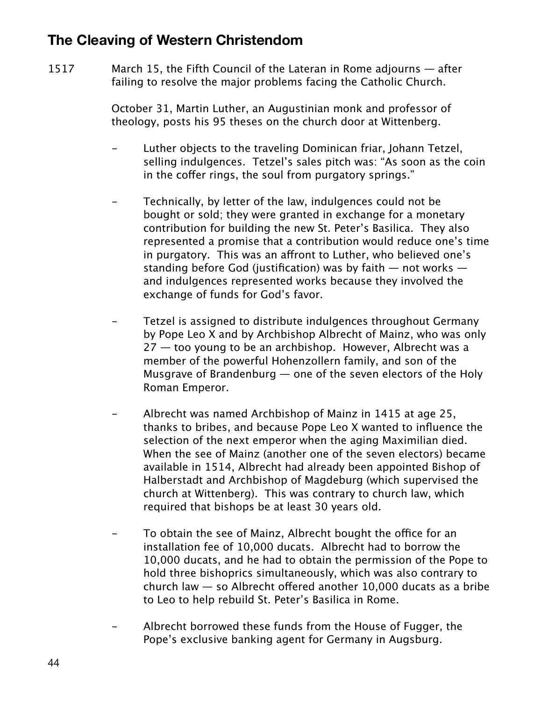# **The Cleaving of Western Christendom**

1517 March 15, the Fifth Council of the Lateran in Rome adjourns — after failing to resolve the major problems facing the Catholic Church.

> October 31, Martin Luther, an Augustinian monk and professor of theology, posts his 95 theses on the church door at Wittenberg.

- Luther objects to the traveling Dominican friar, Johann Tetzel, selling indulgences. Tetzel's sales pitch was: "As soon as the coin in the coffer rings, the soul from purgatory springs."
- Technically, by letter of the law, indulgences could not be bought or sold; they were granted in exchange for a monetary contribution for building the new St. Peter's Basilica. They also represented a promise that a contribution would reduce one's time in purgatory. This was an afront to Luther, who believed one's standing before God (justification) was by faith  $-$  not works  $$ and indulgences represented works because they involved the exchange of funds for God's favor.
- Tetzel is assigned to distribute indulgences throughout Germany by Pope Leo X and by Archbishop Albrecht of Mainz, who was only 27 — too young to be an archbishop. However, Albrecht was a member of the powerful Hohenzollern family, and son of the Musgrave of Brandenburg — one of the seven electors of the Holy Roman Emperor.
- Albrecht was named Archbishop of Mainz in 1415 at age 25, thanks to bribes, and because Pope Leo X wanted to influence the selection of the next emperor when the aging Maximilian died. When the see of Mainz (another one of the seven electors) became available in 1514, Albrecht had already been appointed Bishop of Halberstadt and Archbishop of Magdeburg (which supervised the church at Wittenberg). This was contrary to church law, which required that bishops be at least 30 years old.
- To obtain the see of Mainz, Albrecht bought the office for an installation fee of 10,000 ducats. Albrecht had to borrow the 10,000 ducats, and he had to obtain the permission of the Pope to hold three bishoprics simultaneously, which was also contrary to church law  $-$  so Albrecht offered another 10,000 ducats as a bribe to Leo to help rebuild St. Peter's Basilica in Rome.
- Albrecht borrowed these funds from the House of Fugger, the Pope's exclusive banking agent for Germany in Augsburg.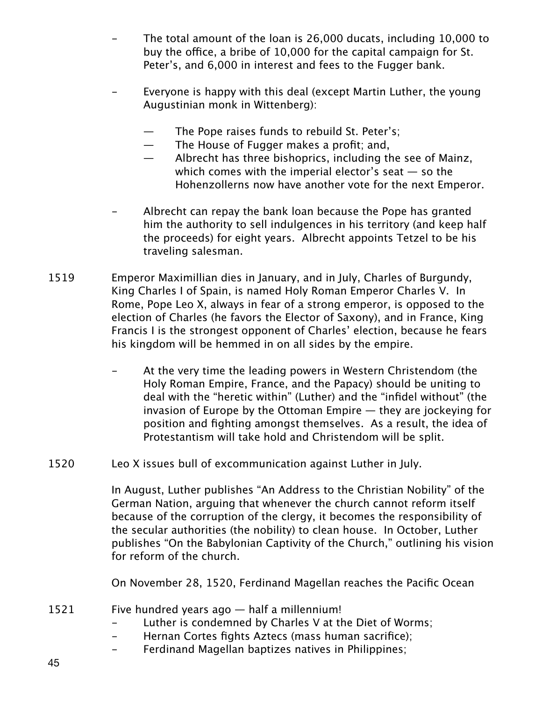- The total amount of the loan is 26,000 ducats, including 10,000 to buy the office, a bribe of 10,000 for the capital campaign for St. Peter's, and 6,000 in interest and fees to the Fugger bank.
- Everyone is happy with this deal (except Martin Luther, the young Augustinian monk in Wittenberg):
	- The Pope raises funds to rebuild St. Peter's;
	- The House of Fugger makes a profit; and,
	- Albrecht has three bishoprics, including the see of Mainz, which comes with the imperial elector's seat  $-$  so the Hohenzollerns now have another vote for the next Emperor.
- Albrecht can repay the bank loan because the Pope has granted him the authority to sell indulgences in his territory (and keep half the proceeds) for eight years. Albrecht appoints Tetzel to be his traveling salesman.
- 1519 Emperor Maximillian dies in January, and in July, Charles of Burgundy, King Charles I of Spain, is named Holy Roman Emperor Charles V. In Rome, Pope Leo X, always in fear of a strong emperor, is opposed to the election of Charles (he favors the Elector of Saxony), and in France, King Francis I is the strongest opponent of Charles' election, because he fears his kingdom will be hemmed in on all sides by the empire.
	- At the very time the leading powers in Western Christendom (the Holy Roman Empire, France, and the Papacy) should be uniting to deal with the "heretic within" (Luther) and the "infidel without" (the invasion of Europe by the Ottoman Empire  $-$  they are jockeying for position and fighting amongst themselves. As a result, the idea of Protestantism will take hold and Christendom will be split.
- 1520 Leo X issues bull of excommunication against Luther in July.

In August, Luther publishes "An Address to the Christian Nobility" of the German Nation, arguing that whenever the church cannot reform itself because of the corruption of the clergy, it becomes the responsibility of the secular authorities (the nobility) to clean house. In October, Luther publishes "On the Babylonian Captivity of the Church," outlining his vision for reform of the church.

On November 28, 1520, Ferdinand Magellan reaches the Pacific Ocean

- 1521 Five hundred years ago half a millennium!
	- Luther is condemned by Charles V at the Diet of Worms;
	- Hernan Cortes fights Aztecs (mass human sacrifice);
	- Ferdinand Magellan baptizes natives in Philippines;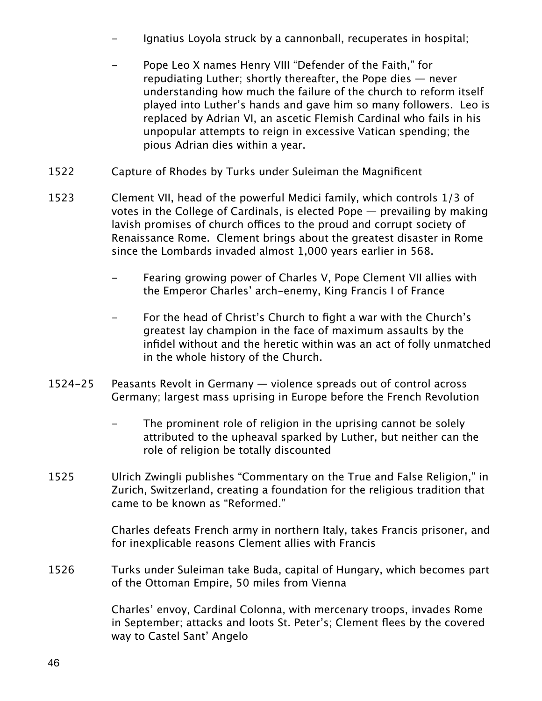- Ignatius Loyola struck by a cannonball, recuperates in hospital;
- Pope Leo X names Henry VIII "Defender of the Faith," for repudiating Luther; shortly thereafter, the Pope dies — never understanding how much the failure of the church to reform itself played into Luther's hands and gave him so many followers. Leo is replaced by Adrian VI, an ascetic Flemish Cardinal who fails in his unpopular attempts to reign in excessive Vatican spending; the pious Adrian dies within a year.
- 1522 Capture of Rhodes by Turks under Suleiman the Magnificent
- 1523 Clement VII, head of the powerful Medici family, which controls 1/3 of votes in the College of Cardinals, is elected Pope — prevailing by making lavish promises of church offices to the proud and corrupt society of Renaissance Rome. Clement brings about the greatest disaster in Rome since the Lombards invaded almost 1,000 years earlier in 568.
	- Fearing growing power of Charles V, Pope Clement VII allies with the Emperor Charles' arch-enemy, King Francis I of France
	- For the head of Christ's Church to fight a war with the Church's greatest lay champion in the face of maximum assaults by the infidel without and the heretic within was an act of folly unmatched in the whole history of the Church.
- 1524-25 Peasants Revolt in Germany violence spreads out of control across Germany; largest mass uprising in Europe before the French Revolution
	- The prominent role of religion in the uprising cannot be solely attributed to the upheaval sparked by Luther, but neither can the role of religion be totally discounted
- 1525 Ulrich Zwingli publishes "Commentary on the True and False Religion," in Zurich, Switzerland, creating a foundation for the religious tradition that came to be known as "Reformed."

Charles defeats French army in northern Italy, takes Francis prisoner, and for inexplicable reasons Clement allies with Francis

1526 Turks under Suleiman take Buda, capital of Hungary, which becomes part of the Ottoman Empire, 50 miles from Vienna

> Charles' envoy, Cardinal Colonna, with mercenary troops, invades Rome in September; attacks and loots St. Peter's; Clement flees by the covered way to Castel Sant' Angelo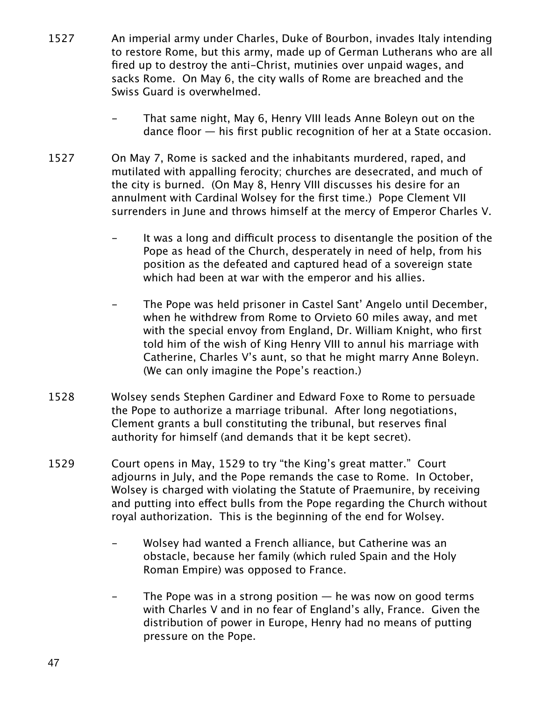- 1527 An imperial army under Charles, Duke of Bourbon, invades Italy intending to restore Rome, but this army, made up of German Lutherans who are all fired up to destroy the anti-Christ, mutinies over unpaid wages, and sacks Rome. On May 6, the city walls of Rome are breached and the Swiss Guard is overwhelmed.
	- That same night, May 6, Henry VIII leads Anne Boleyn out on the dance floor — his first public recognition of her at a State occasion.
- 1527 On May 7, Rome is sacked and the inhabitants murdered, raped, and mutilated with appalling ferocity; churches are desecrated, and much of the city is burned. (On May 8, Henry VIII discusses his desire for an annulment with Cardinal Wolsey for the first time.) Pope Clement VII surrenders in June and throws himself at the mercy of Emperor Charles V.
	- It was a long and difficult process to disentangle the position of the Pope as head of the Church, desperately in need of help, from his position as the defeated and captured head of a sovereign state which had been at war with the emperor and his allies.
	- The Pope was held prisoner in Castel Sant' Angelo until December, when he withdrew from Rome to Orvieto 60 miles away, and met with the special envoy from England, Dr. William Knight, who first told him of the wish of King Henry VIII to annul his marriage with Catherine, Charles V's aunt, so that he might marry Anne Boleyn. (We can only imagine the Pope's reaction.)
- 1528 Wolsey sends Stephen Gardiner and Edward Foxe to Rome to persuade the Pope to authorize a marriage tribunal. After long negotiations, Clement grants a bull constituting the tribunal, but reserves final authority for himself (and demands that it be kept secret).
- 1529 Court opens in May, 1529 to try "the King's great matter." Court adjourns in July, and the Pope remands the case to Rome. In October, Wolsey is charged with violating the Statute of Praemunire, by receiving and putting into efect bulls from the Pope regarding the Church without royal authorization. This is the beginning of the end for Wolsey.
	- Wolsey had wanted a French alliance, but Catherine was an obstacle, because her family (which ruled Spain and the Holy Roman Empire) was opposed to France.
	- The Pope was in a strong position  $-$  he was now on good terms with Charles V and in no fear of England's ally, France. Given the distribution of power in Europe, Henry had no means of putting pressure on the Pope.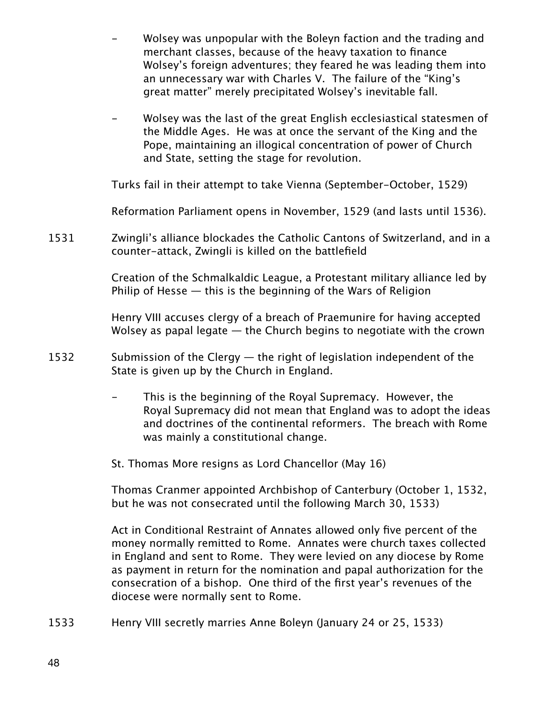- Wolsey was unpopular with the Boleyn faction and the trading and merchant classes, because of the heavy taxation to finance Wolsey's foreign adventures; they feared he was leading them into an unnecessary war with Charles V. The failure of the "King's great matter" merely precipitated Wolsey's inevitable fall.
- Wolsey was the last of the great English ecclesiastical statesmen of the Middle Ages. He was at once the servant of the King and the Pope, maintaining an illogical concentration of power of Church and State, setting the stage for revolution.

Turks fail in their attempt to take Vienna (September-October, 1529)

Reformation Parliament opens in November, 1529 (and lasts until 1536).

1531 Zwingli's alliance blockades the Catholic Cantons of Switzerland, and in a counter-attack, Zwingli is killed on the battlefield

> Creation of the Schmalkaldic League, a Protestant military alliance led by Philip of Hesse  $-$  this is the beginning of the Wars of Religion

> Henry VIII accuses clergy of a breach of Praemunire for having accepted Wolsey as papal legate — the Church begins to negotiate with the crown

- 1532 Submission of the Clergy the right of legislation independent of the State is given up by the Church in England.
	- This is the beginning of the Royal Supremacy. However, the Royal Supremacy did not mean that England was to adopt the ideas and doctrines of the continental reformers. The breach with Rome was mainly a constitutional change.
	- St. Thomas More resigns as Lord Chancellor (May 16)

Thomas Cranmer appointed Archbishop of Canterbury (October 1, 1532, but he was not consecrated until the following March 30, 1533)

Act in Conditional Restraint of Annates allowed only five percent of the money normally remitted to Rome. Annates were church taxes collected in England and sent to Rome. They were levied on any diocese by Rome as payment in return for the nomination and papal authorization for the consecration of a bishop. One third of the first year's revenues of the diocese were normally sent to Rome.

1533 Henry VIII secretly marries Anne Boleyn (January 24 or 25, 1533)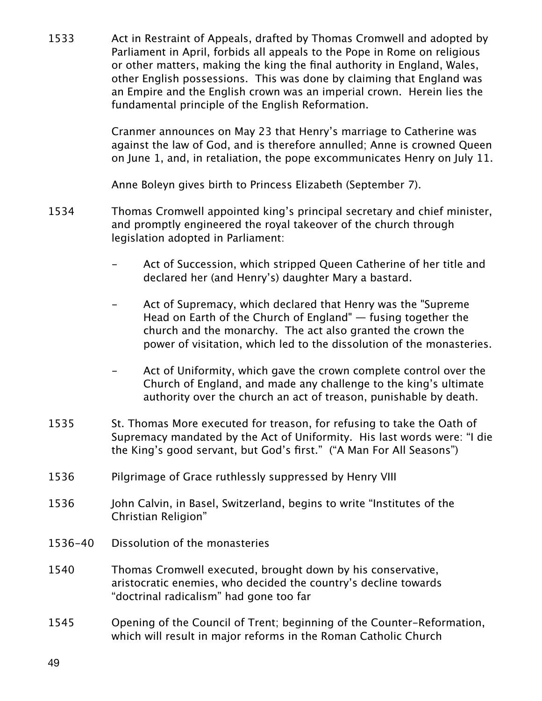1533 Act in Restraint of Appeals, drafted by Thomas Cromwell and adopted by Parliament in April, forbids all appeals to the Pope in Rome on religious or other matters, making the king the final authority in England, Wales, other English possessions. This was done by claiming that England was an Empire and the English crown was an imperial crown. Herein lies the fundamental principle of the English Reformation.

> Cranmer announces on May 23 that Henry's marriage to Catherine was against the law of God, and is therefore annulled; Anne is crowned Queen on June 1, and, in retaliation, the pope excommunicates Henry on July 11.

Anne Boleyn gives birth to Princess Elizabeth (September 7).

- 1534 Thomas Cromwell appointed king's principal secretary and chief minister, and promptly engineered the royal takeover of the church through legislation adopted in Parliament:
	- Act of Succession, which stripped Queen Catherine of her title and declared her (and Henry's) daughter Mary a bastard.
	- Act of Supremacy, which declared that Henry was the "Supreme" Head on Earth of the Church of England" — fusing together the church and the monarchy. The act also granted the crown the power of visitation, which led to the dissolution of the monasteries.
	- Act of Uniformity, which gave the crown complete control over the Church of England, and made any challenge to the king's ultimate authority over the church an act of treason, punishable by death.
- 1535 St. Thomas More executed for treason, for refusing to take the Oath of Supremacy mandated by the Act of Uniformity. His last words were: "I die the King's good servant, but God's first." ("A Man For All Seasons")
- 1536 Pilgrimage of Grace ruthlessly suppressed by Henry VIII
- 1536 John Calvin, in Basel, Switzerland, begins to write "Institutes of the Christian Religion"
- 1536-40 Dissolution of the monasteries
- 1540 Thomas Cromwell executed, brought down by his conservative, aristocratic enemies, who decided the country's decline towards "doctrinal radicalism" had gone too far
- 1545 Opening of the Council of Trent; beginning of the Counter-Reformation, which will result in major reforms in the Roman Catholic Church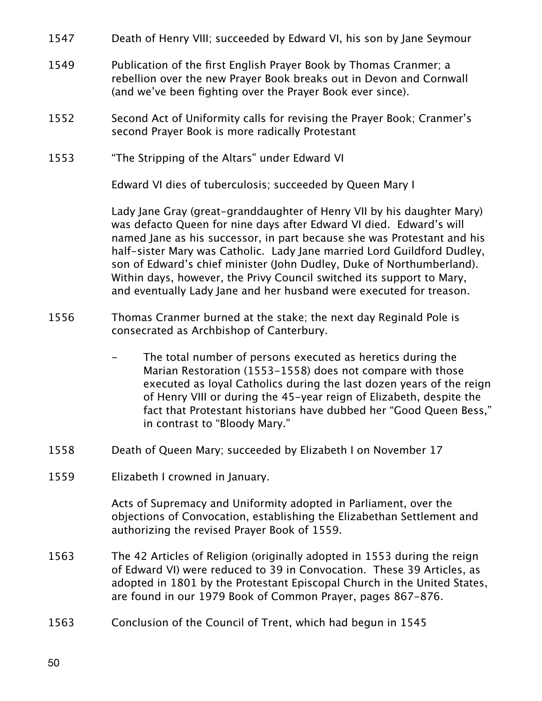- 1547 Death of Henry VIII; succeeded by Edward VI, his son by Jane Seymour
- 1549 Publication of the first English Prayer Book by Thomas Cranmer; a rebellion over the new Prayer Book breaks out in Devon and Cornwall (and we've been fighting over the Prayer Book ever since).
- 1552 Second Act of Uniformity calls for revising the Prayer Book; Cranmer's second Prayer Book is more radically Protestant
- 1553 "The Stripping of the Altars" under Edward VI

Edward VI dies of tuberculosis; succeeded by Queen Mary I

Lady Jane Gray (great-granddaughter of Henry VII by his daughter Mary) was defacto Queen for nine days after Edward VI died. Edward's will named Jane as his successor, in part because she was Protestant and his half-sister Mary was Catholic. Lady Jane married Lord Guildford Dudley, son of Edward's chief minister (John Dudley, Duke of Northumberland). Within days, however, the Privy Council switched its support to Mary, and eventually Lady Jane and her husband were executed for treason.

- 1556 Thomas Cranmer burned at the stake; the next day Reginald Pole is consecrated as Archbishop of Canterbury.
	- The total number of persons executed as heretics during the Marian Restoration (1553-1558) does not compare with those executed as loyal Catholics during the last dozen years of the reign of Henry VIII or during the 45-year reign of Elizabeth, despite the fact that Protestant historians have dubbed her "Good Queen Bess," in contrast to "Bloody Mary."
- 1558 Death of Queen Mary; succeeded by Elizabeth I on November 17
- 1559 Elizabeth I crowned in January.

Acts of Supremacy and Uniformity adopted in Parliament, over the objections of Convocation, establishing the Elizabethan Settlement and authorizing the revised Prayer Book of 1559.

- 1563 The 42 Articles of Religion (originally adopted in 1553 during the reign of Edward VI) were reduced to 39 in Convocation. These 39 Articles, as adopted in 1801 by the Protestant Episcopal Church in the United States, are found in our 1979 Book of Common Prayer, pages 867-876.
- 1563 Conclusion of the Council of Trent, which had begun in 1545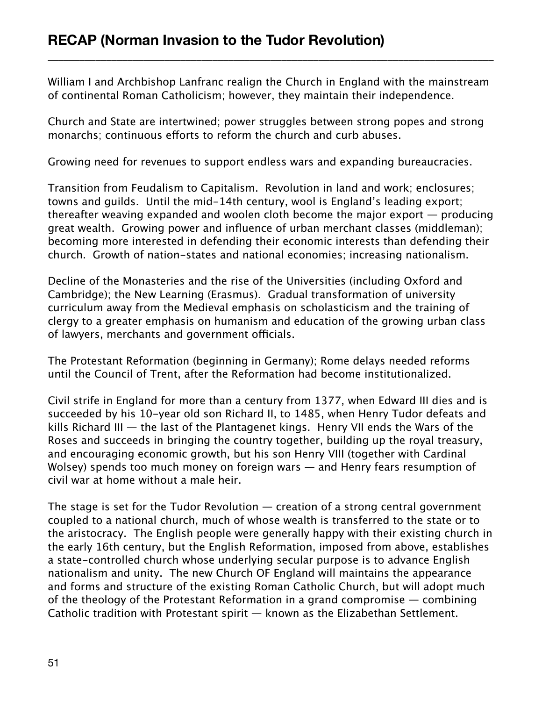William I and Archbishop Lanfranc realign the Church in England with the mainstream of continental Roman Catholicism; however, they maintain their independence.

\_\_\_\_\_\_\_\_\_\_\_\_\_\_\_\_\_\_\_\_\_\_\_\_\_\_\_\_\_\_\_\_\_\_\_\_\_\_\_\_\_\_\_\_\_\_\_\_\_\_\_\_\_\_\_\_\_\_\_\_\_\_\_\_\_\_\_\_\_\_\_\_\_\_\_\_\_\_\_\_\_\_\_\_

Church and State are intertwined; power struggles between strong popes and strong monarchs; continuous efforts to reform the church and curb abuses.

Growing need for revenues to support endless wars and expanding bureaucracies.

Transition from Feudalism to Capitalism. Revolution in land and work; enclosures; towns and guilds. Until the mid-14th century, wool is England's leading export; thereafter weaving expanded and woolen cloth become the major export — producing great wealth. Growing power and influence of urban merchant classes (middleman); becoming more interested in defending their economic interests than defending their church. Growth of nation-states and national economies; increasing nationalism.

Decline of the Monasteries and the rise of the Universities (including Oxford and Cambridge); the New Learning (Erasmus). Gradual transformation of university curriculum away from the Medieval emphasis on scholasticism and the training of clergy to a greater emphasis on humanism and education of the growing urban class of lawyers, merchants and government officials.

The Protestant Reformation (beginning in Germany); Rome delays needed reforms until the Council of Trent, after the Reformation had become institutionalized.

Civil strife in England for more than a century from 1377, when Edward III dies and is succeeded by his 10-year old son Richard II, to 1485, when Henry Tudor defeats and kills Richard III — the last of the Plantagenet kings. Henry VII ends the Wars of the Roses and succeeds in bringing the country together, building up the royal treasury, and encouraging economic growth, but his son Henry VIII (together with Cardinal Wolsey) spends too much money on foreign wars — and Henry fears resumption of civil war at home without a male heir.

The stage is set for the Tudor Revolution  $-$  creation of a strong central government coupled to a national church, much of whose wealth is transferred to the state or to the aristocracy. The English people were generally happy with their existing church in the early 16th century, but the English Reformation, imposed from above, establishes a state-controlled church whose underlying secular purpose is to advance English nationalism and unity. The new Church OF England will maintains the appearance and forms and structure of the existing Roman Catholic Church, but will adopt much of the theology of the Protestant Reformation in a grand compromise — combining Catholic tradition with Protestant spirit — known as the Elizabethan Settlement.